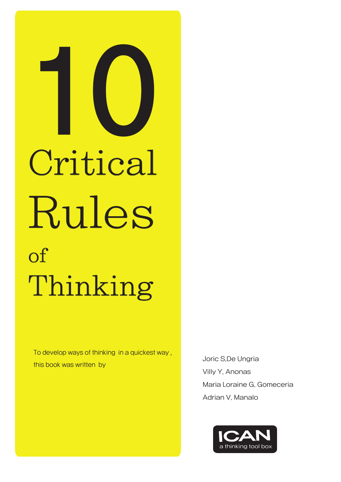# 10 Critical Rules of Thinking

To develop ways of thinking in a quickest way , this book was written by

Joric S.De Ungria Villy Y. Anonas Maria Loraine G. Gomeceria Adrian V. Manalo

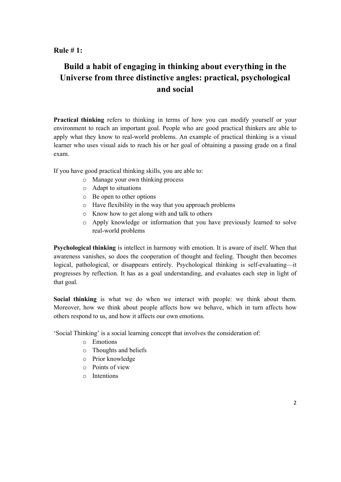#### Rule # 1:

# Build a habit of engaging in thinking about everything in the Universe from three distinctive angles: practical, psychological and social

Practical thinking refers to thinking in terms of how you can modify yourself or your environment to reach an important goal. People who are good practical thinkers are able to apply what they know to real-world problems. An example of practical thinking is a visual learner who uses visual aids to reach his or her goal of obtaining a passing grade on a final exam.

If you have good practical thinking skills, you are able to:

- o Manage your own thinking process
- o Adapt to situations
- o Be open to other options
- o Have flexibility in the way that you approach problems
- o Know how to get along with and talk to others
- o Apply knowledge or information that you have previously learned to solve real-world problems

Psychological thinking is intellect in harmony with emotion. It is aware of itself. When that awareness vanishes, so does the cooperation of thought and feeling. Thought then becomes logical, pathological, or disappears entirely. Psychological thinking is self-evaluating—it progresses by reflection. It has as a goal understanding, and evaluates each step in light of that goal.

Social thinking is what we do when we interact with people: we think about them. Moreover, how we think about people affects how we behave, which in turn affects how others respond to us, and how it affects our own emotions.

'Social Thinking' is a social learning concept that involves the consideration of:

- o Emotions
- o Thoughts and beliefs
- o Prior knowledge
- o Points of view
- o Intentions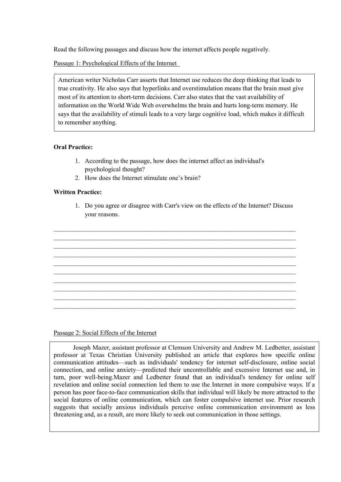Read the following passages and discuss how the internet affects people negatively.

Passage 1: Psychological Effects of the Internet

American writer Nicholas Carr asserts that Internet use reduces the deep thinking that leads to true creativity. He also says that hyperlinks and overstimulation means that the brain must give most of its attention to short-term decisions. Carr also states that the vast availability of information on the World Wide Web overwhelms the brain and hurts long-term memory. He says that the availability of stimuli leads to a very large cognitive load, which makes it difficult to remember anything.

#### Oral Practice:

- 1. According to the passage, how does the internet affect an individual's psychological thought?
- 2. How does the Internet stimulate one's brain?

#### Written Practice:

1. Do you agree or disagree with Carr's view on the effects of the Internet? Discuss your reasons.

\_\_\_\_\_\_\_\_\_\_\_\_\_\_\_\_\_\_\_\_\_\_\_\_\_\_\_\_\_\_\_\_\_\_\_\_\_\_\_\_\_\_\_\_\_\_\_\_\_\_\_\_\_\_\_\_\_\_\_\_\_\_\_\_\_\_\_\_\_\_\_\_\_\_\_ \_\_\_\_\_\_\_\_\_\_\_\_\_\_\_\_\_\_\_\_\_\_\_\_\_\_\_\_\_\_\_\_\_\_\_\_\_\_\_\_\_\_\_\_\_\_\_\_\_\_\_\_\_\_\_\_\_\_\_\_\_\_\_\_\_\_\_\_\_\_\_\_\_\_\_ \_\_\_\_\_\_\_\_\_\_\_\_\_\_\_\_\_\_\_\_\_\_\_\_\_\_\_\_\_\_\_\_\_\_\_\_\_\_\_\_\_\_\_\_\_\_\_\_\_\_\_\_\_\_\_\_\_\_\_\_\_\_\_\_\_\_\_\_\_\_\_\_\_\_\_ \_\_\_\_\_\_\_\_\_\_\_\_\_\_\_\_\_\_\_\_\_\_\_\_\_\_\_\_\_\_\_\_\_\_\_\_\_\_\_\_\_\_\_\_\_\_\_\_\_\_\_\_\_\_\_\_\_\_\_\_\_\_\_\_\_\_\_\_\_\_\_\_\_\_\_ \_\_\_\_\_\_\_\_\_\_\_\_\_\_\_\_\_\_\_\_\_\_\_\_\_\_\_\_\_\_\_\_\_\_\_\_\_\_\_\_\_\_\_\_\_\_\_\_\_\_\_\_\_\_\_\_\_\_\_\_\_\_\_\_\_\_\_\_\_\_\_\_\_\_\_ \_\_\_\_\_\_\_\_\_\_\_\_\_\_\_\_\_\_\_\_\_\_\_\_\_\_\_\_\_\_\_\_\_\_\_\_\_\_\_\_\_\_\_\_\_\_\_\_\_\_\_\_\_\_\_\_\_\_\_\_\_\_\_\_\_\_\_\_\_\_\_\_\_\_\_ \_\_\_\_\_\_\_\_\_\_\_\_\_\_\_\_\_\_\_\_\_\_\_\_\_\_\_\_\_\_\_\_\_\_\_\_\_\_\_\_\_\_\_\_\_\_\_\_\_\_\_\_\_\_\_\_\_\_\_\_\_\_\_\_\_\_\_\_\_\_\_\_\_\_\_ \_\_\_\_\_\_\_\_\_\_\_\_\_\_\_\_\_\_\_\_\_\_\_\_\_\_\_\_\_\_\_\_\_\_\_\_\_\_\_\_\_\_\_\_\_\_\_\_\_\_\_\_\_\_\_\_\_\_\_\_\_\_\_\_\_\_\_\_\_\_\_\_\_\_\_ \_\_\_\_\_\_\_\_\_\_\_\_\_\_\_\_\_\_\_\_\_\_\_\_\_\_\_\_\_\_\_\_\_\_\_\_\_\_\_\_\_\_\_\_\_\_\_\_\_\_\_\_\_\_\_\_\_\_\_\_\_\_\_\_\_\_\_\_\_\_\_\_\_\_\_ \_\_\_\_\_\_\_\_\_\_\_\_\_\_\_\_\_\_\_\_\_\_\_\_\_\_\_\_\_\_\_\_\_\_\_\_\_\_\_\_\_\_\_\_\_\_\_\_\_\_\_\_\_\_\_\_\_\_\_\_\_\_\_\_\_\_\_\_\_\_\_\_\_\_\_

#### Passage 2: Social Effects of the Internet

social reatures of offine communication, which can foster compulsive interfact use. Thor research person has poor face-to-face communication skills that individual will likely be more attracted to the Joseph Mazer, assistant professor at Clemson University and Andrew M. Ledbetter, assistant professor at Texas Christian University published an article that explores how specific online communication attitudes—such as individuals' tendency for internet self-disclosure, online social connection, and online anxiety—predicted their uncontrollable and excessive Internet use and, in turn, poor well-being.Mazer and Ledbetter found that an individual's tendency for online self revelation and online social connection led them to use the Internet in more compulsive ways. If a social features of online communication, which can foster compulsive internet use. Prior research threatening and, as a result, are more likely to seek out communication in those settings.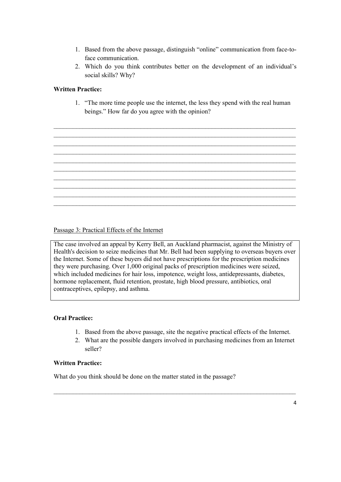- 1. Based from the above passage, distinguish "online" communication from face-toface communication.
- 2. Which do you think contributes better on the development of an individual's social skills? Why?

#### Written Practice:

1. "The more time people use the internet, the less they spend with the real human beings." How far do you agree with the opinion?

\_\_\_\_\_\_\_\_\_\_\_\_\_\_\_\_\_\_\_\_\_\_\_\_\_\_\_\_\_\_\_\_\_\_\_\_\_\_\_\_\_\_\_\_\_\_\_\_\_\_\_\_\_\_\_\_\_\_\_\_\_\_\_\_\_\_\_\_\_\_\_\_\_\_\_ \_\_\_\_\_\_\_\_\_\_\_\_\_\_\_\_\_\_\_\_\_\_\_\_\_\_\_\_\_\_\_\_\_\_\_\_\_\_\_\_\_\_\_\_\_\_\_\_\_\_\_\_\_\_\_\_\_\_\_\_\_\_\_\_\_\_\_\_\_\_\_\_\_\_\_ \_\_\_\_\_\_\_\_\_\_\_\_\_\_\_\_\_\_\_\_\_\_\_\_\_\_\_\_\_\_\_\_\_\_\_\_\_\_\_\_\_\_\_\_\_\_\_\_\_\_\_\_\_\_\_\_\_\_\_\_\_\_\_\_\_\_\_\_\_\_\_\_\_\_\_ \_\_\_\_\_\_\_\_\_\_\_\_\_\_\_\_\_\_\_\_\_\_\_\_\_\_\_\_\_\_\_\_\_\_\_\_\_\_\_\_\_\_\_\_\_\_\_\_\_\_\_\_\_\_\_\_\_\_\_\_\_\_\_\_\_\_\_\_\_\_\_\_\_\_\_ \_\_\_\_\_\_\_\_\_\_\_\_\_\_\_\_\_\_\_\_\_\_\_\_\_\_\_\_\_\_\_\_\_\_\_\_\_\_\_\_\_\_\_\_\_\_\_\_\_\_\_\_\_\_\_\_\_\_\_\_\_\_\_\_\_\_\_\_\_\_\_\_\_\_\_ \_\_\_\_\_\_\_\_\_\_\_\_\_\_\_\_\_\_\_\_\_\_\_\_\_\_\_\_\_\_\_\_\_\_\_\_\_\_\_\_\_\_\_\_\_\_\_\_\_\_\_\_\_\_\_\_\_\_\_\_\_\_\_\_\_\_\_\_\_\_\_\_\_\_\_ \_\_\_\_\_\_\_\_\_\_\_\_\_\_\_\_\_\_\_\_\_\_\_\_\_\_\_\_\_\_\_\_\_\_\_\_\_\_\_\_\_\_\_\_\_\_\_\_\_\_\_\_\_\_\_\_\_\_\_\_\_\_\_\_\_\_\_\_\_\_\_\_\_\_\_ \_\_\_\_\_\_\_\_\_\_\_\_\_\_\_\_\_\_\_\_\_\_\_\_\_\_\_\_\_\_\_\_\_\_\_\_\_\_\_\_\_\_\_\_\_\_\_\_\_\_\_\_\_\_\_\_\_\_\_\_\_\_\_\_\_\_\_\_\_\_\_\_\_\_\_ \_\_\_\_\_\_\_\_\_\_\_\_\_\_\_\_\_\_\_\_\_\_\_\_\_\_\_\_\_\_\_\_\_\_\_\_\_\_\_\_\_\_\_\_\_\_\_\_\_\_\_\_\_\_\_\_\_\_\_\_\_\_\_\_\_\_\_\_\_\_\_\_\_\_\_ \_\_\_\_\_\_\_\_\_\_\_\_\_\_\_\_\_\_\_\_\_\_\_\_\_\_\_\_\_\_\_\_\_\_\_\_\_\_\_\_\_\_\_\_\_\_\_\_\_\_\_\_\_\_\_\_\_\_\_\_\_\_\_\_\_\_\_\_\_\_\_\_\_\_\_

Passage 3: Practical Effects of the Internet

The case involved an appeal by Kerry Bell, an Auckland pharmacist, against the Ministry of Health's decision to seize medicines that Mr. Bell had been supplying to overseas buyers over the Internet. Some of these buyers did not have prescriptions for the prescription medicines they were purchasing. Over 1,000 original packs of prescription medicines were seized, which included medicines for hair loss, impotence, weight loss, antidepressants, diabetes, hormone replacement, fluid retention, prostate, high blood pressure, antibiotics, oral contraceptives, epilepsy, and asthma.

#### Oral Practice:

- 1. Based from the above passage, site the negative practical effects of the Internet.
- 2. What are the possible dangers involved in purchasing medicines from an Internet seller?

\_\_\_\_\_\_\_\_\_\_\_\_\_\_\_\_\_\_\_\_\_\_\_\_\_\_\_\_\_\_\_\_\_\_\_\_\_\_\_\_\_\_\_\_\_\_\_\_\_\_\_\_\_\_\_\_\_\_\_\_\_\_\_\_\_\_\_\_\_\_\_\_\_\_\_

#### Written Practice:

What do you think should be done on the matter stated in the passage?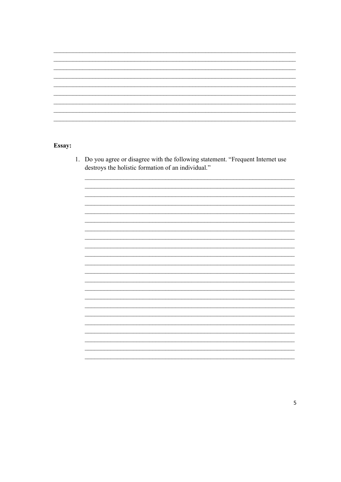#### Essay:

1. Do you agree or disagree with the following statement. "Frequent Internet use destroys the holistic formation of an individual."

 $\overline{\mathbf{5}}$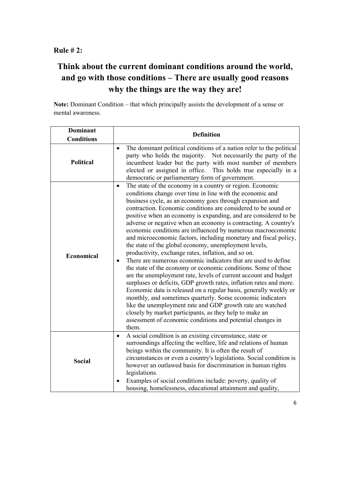Rule # 2:

# Think about the current dominant conditions around the world, and go with those conditions – There are usually good reasons why the things are the way they are!

Note: Dominant Condition – that which principally assists the development of a sense or mental awareness.

| <b>Dominant</b>   | <b>Definition</b>                                                                                                                                                                                                                                                                                                                                                                                                                                                                                                                                                                                                                                                                                                                                                                                                                                                                                                                                                                                                                                                                                                                                                                                                                                                                        |  |  |  |
|-------------------|------------------------------------------------------------------------------------------------------------------------------------------------------------------------------------------------------------------------------------------------------------------------------------------------------------------------------------------------------------------------------------------------------------------------------------------------------------------------------------------------------------------------------------------------------------------------------------------------------------------------------------------------------------------------------------------------------------------------------------------------------------------------------------------------------------------------------------------------------------------------------------------------------------------------------------------------------------------------------------------------------------------------------------------------------------------------------------------------------------------------------------------------------------------------------------------------------------------------------------------------------------------------------------------|--|--|--|
| <b>Conditions</b> |                                                                                                                                                                                                                                                                                                                                                                                                                                                                                                                                                                                                                                                                                                                                                                                                                                                                                                                                                                                                                                                                                                                                                                                                                                                                                          |  |  |  |
| <b>Political</b>  | The dominant political conditions of a nation refer to the political<br>$\bullet$<br>party who holds the majority.<br>Not necessarily the party of the<br>incumbent leader but the party with most number of members<br>elected or assigned in office. This holds true especially in a<br>democratic or parliamentary form of government.                                                                                                                                                                                                                                                                                                                                                                                                                                                                                                                                                                                                                                                                                                                                                                                                                                                                                                                                                |  |  |  |
| <b>Economical</b> | The state of the economy in a country or region. Economic<br>$\bullet$<br>conditions change over time in line with the economic and<br>business cycle, as an economy goes through expansion and<br>contraction. Economic conditions are considered to be sound or<br>positive when an economy is expanding, and are considered to be<br>adverse or negative when an economy is contracting. A country's<br>economic conditions are influenced by numerous macroeconomic<br>and microeconomic factors, including monetary and fiscal policy,<br>the state of the global economy, unemployment levels,<br>productivity, exchange rates, inflation, and so on.<br>There are numerous economic indicators that are used to define<br>$\bullet$<br>the state of the economy or economic conditions. Some of these<br>are the unemployment rate, levels of current account and budget<br>surpluses or deficits, GDP growth rates, inflation rates and more.<br>Economic data is released on a regular basis, generally weekly or<br>monthly, and sometimes quarterly. Some economic indicators<br>like the unemployment rate and GDP growth rate are watched<br>closely by market participants, as they help to make an<br>assessment of economic conditions and potential changes in<br>them. |  |  |  |
| <b>Social</b>     | A social condition is an existing circumstance, state or<br>$\bullet$<br>surroundings affecting the welfare, life and relations of human<br>beings within the community. It is often the result of<br>circumstances or even a country's legislations. Social condition is<br>however an outlawed basis for discrimination in human rights<br>legislations.<br>Examples of social conditions include: poverty, quality of<br>housing, homelessness, educational attainment and quality,                                                                                                                                                                                                                                                                                                                                                                                                                                                                                                                                                                                                                                                                                                                                                                                                   |  |  |  |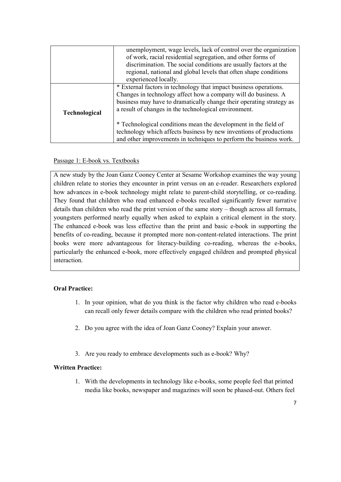|                      | unemployment, wage levels, lack of control over the organization     |  |  |  |  |
|----------------------|----------------------------------------------------------------------|--|--|--|--|
|                      | of work, racial residential segregation, and other forms of          |  |  |  |  |
|                      | discrimination. The social conditions are usually factors at the     |  |  |  |  |
|                      | regional, national and global levels that often shape conditions     |  |  |  |  |
|                      | experienced locally.                                                 |  |  |  |  |
|                      | * External factors in technology that impact business operations.    |  |  |  |  |
|                      | Changes in technology affect how a company will do business. A       |  |  |  |  |
|                      | business may have to dramatically change their operating strategy as |  |  |  |  |
| <b>Technological</b> | a result of changes in the technological environment.                |  |  |  |  |
|                      |                                                                      |  |  |  |  |
|                      | * Technological conditions mean the development in the field of      |  |  |  |  |
|                      | technology which affects business by new inventions of productions   |  |  |  |  |
|                      | and other improvements in techniques to perform the business work.   |  |  |  |  |

#### Passage 1: E-book vs. Textbooks

A new study by the Joan Ganz Cooney Center at Sesame Workshop examines the way young children relate to stories they encounter in print versus on an e-reader. Researchers explored how advances in e-book technology might relate to parent-child storytelling, or co-reading. They found that children who read enhanced e-books recalled significantly fewer narrative details than children who read the print version of the same story – though across all formats, youngsters performed nearly equally when asked to explain a critical element in the story. The enhanced e-book was less effective than the print and basic e-book in supporting the benefits of co-reading, because it prompted more non-content-related interactions. The print books were more advantageous for literacy-building co-reading, whereas the e-books, particularly the enhanced e-book, more effectively engaged children and prompted physical interaction.

#### Oral Practice:

- 1. In your opinion, what do you think is the factor why children who read e-books can recall only fewer details compare with the children who read printed books?
- 2. Do you agree with the idea of Joan Ganz Cooney? Explain your answer.
- 3. Are you ready to embrace developments such as e-book? Why?

#### Written Practice:

1. With the developments in technology like e-books, some people feel that printed media like books, newspaper and magazines will soon be phased-out. Others feel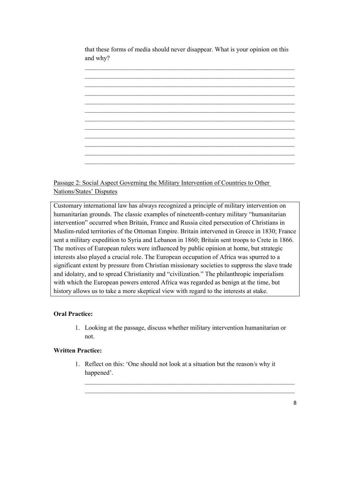that these forms of media should never disappear. What is your opinion on this and why?



Passage 2: Social Aspect Governing the Military Intervention of Countries to Other Nations/States' Disputes

Customary international law has always recognized a principle of military intervention on humanitarian grounds. The classic examples of nineteenth-century military "humanitarian intervention" occurred when Britain, France and Russia cited persecution of Christians in Muslim-ruled territories of the Ottoman Empire. Britain intervened in Greece in 1830; France sent a military expedition to Syria and Lebanon in 1860; Britain sent troops to Crete in 1866. The motives of European rulers were influenced by public opinion at home, but strategic interests also played a crucial role. The European occupation of Africa was spurred to a significant extent by pressure from Christian missionary societies to suppress the slave trade and idolatry, and to spread Christianity and "civilization." The philanthropic imperialism with which the European powers entered Africa was regarded as benign at the time, but history allows us to take a more skeptical view with regard to the interests at stake.

#### Oral Practice:

1. Looking at the passage, discuss whether military intervention humanitarian or not.

#### Written Practice:

1. Reflect on this: 'One should not look at a situation but the reason/s why it happened'.

 $\_$  , and the set of the set of the set of the set of the set of the set of the set of the set of the set of the set of the set of the set of the set of the set of the set of the set of the set of the set of the set of th  $\_$  , and the set of the set of the set of the set of the set of the set of the set of the set of the set of the set of the set of the set of the set of the set of the set of the set of the set of the set of the set of th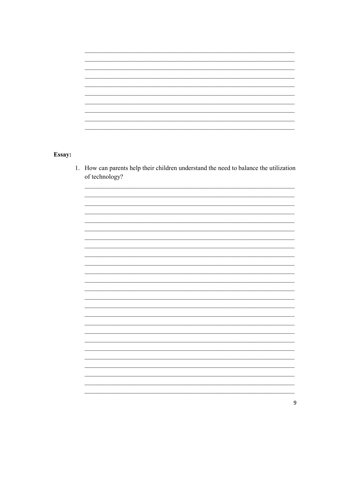## Essay:

1. How can parents help their children understand the need to balance the utilization of technology?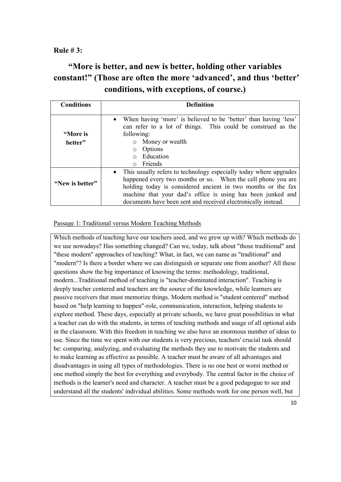Rule # 3:

# "More is better, and new is better, holding other variables constant!" (Those are often the more 'advanced' , and thus 'better' conditions, with exceptions, of course.)

| <b>Conditions</b>   | <b>Definition</b>                                                                                                                                                                                                                                                                                                                   |  |  |  |  |
|---------------------|-------------------------------------------------------------------------------------------------------------------------------------------------------------------------------------------------------------------------------------------------------------------------------------------------------------------------------------|--|--|--|--|
| "More is<br>hetter" | • When having 'more' is believed to be 'better' than having 'less'<br>can refer to a lot of things. This could be construed as the<br>following:<br>$\circ$ Money or wealth<br>Options<br>$\circ$<br>Education<br>$\cap$<br>Friends<br>$\bigcirc$                                                                                   |  |  |  |  |
| "New is better"     | • This usually refers to technology especially today where upgrades<br>happened every two months or so. When the cell phone you are<br>holding today is considered ancient in two months or the fax<br>machine that your dad's office is using has been junked and<br>documents have been sent and received electronically instead. |  |  |  |  |

#### Passage 1: Traditional versus Modern Teaching Methods

Which methods of teaching have our teachers used, and we grew up with? Which methods do we use nowadays? Has something changed? Can we, today, talk about "those traditional" and "these modern" approaches of teaching? What, in fact, we can name as "traditional" and "modern"? Is there a border where we can distinguish or separate one from another? All these questions show the big importance of knowing the terms: methodology, traditional, modern...Traditional method of teaching is "teacher-dominated interaction". Teaching is deeply teacher centered and teachers are the source of the knowledge, while learners are passive receivers that must memorize things. Modern method is "student centered" method based on "help learning to happen"-role, communication, interaction, helping students to explore method. These days, especially at private schools, we have great possibilities in what a teacher can do with the students, in terms of teaching methods and usage of all optional aids in the classroom. With this freedom in teaching we also have an enormous number of ideas to use. Since the time we spent with our students is very precious, teachers' crucial task should be: comparing, analyzing, and evaluating the methods they use to motivate the students and to make learning as effective as possible. A teacher must be aware of all advantages and disadvantages in using all types of methodologies. There is no one best or worst method or one method simply the best for everything and everybody. The central factor in the choice of methods is the learner's need and character. A teacher must be a good pedagogue to see and understand all the students' individual abilities. Some methods work for one person well, but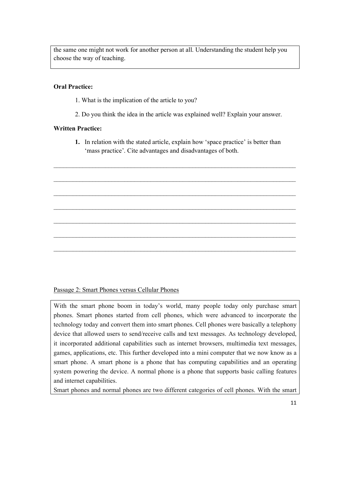the same one might not work for another person at all. Understanding the student help you choose the way of teaching.

#### Oral Practice:

- 1. What is the implication of the article to you?
- 2. Do you think the idea in the article was explained well? Explain your answer.

#### Written Practice:

1. In relation with the stated article, explain how 'space practice' is better than 'mass practice'. Cite advantages and disadvantages of both.

\_\_\_\_\_\_\_\_\_\_\_\_\_\_\_\_\_\_\_\_\_\_\_\_\_\_\_\_\_\_\_\_\_\_\_\_\_\_\_\_\_\_\_\_\_\_\_\_\_\_\_\_\_\_\_\_\_\_\_\_\_\_\_\_\_\_\_\_\_\_\_\_\_\_\_

\_\_\_\_\_\_\_\_\_\_\_\_\_\_\_\_\_\_\_\_\_\_\_\_\_\_\_\_\_\_\_\_\_\_\_\_\_\_\_\_\_\_\_\_\_\_\_\_\_\_\_\_\_\_\_\_\_\_\_\_\_\_\_\_\_\_\_\_\_\_\_\_\_\_\_

\_\_\_\_\_\_\_\_\_\_\_\_\_\_\_\_\_\_\_\_\_\_\_\_\_\_\_\_\_\_\_\_\_\_\_\_\_\_\_\_\_\_\_\_\_\_\_\_\_\_\_\_\_\_\_\_\_\_\_\_\_\_\_\_\_\_\_\_\_\_\_\_\_\_\_

\_\_\_\_\_\_\_\_\_\_\_\_\_\_\_\_\_\_\_\_\_\_\_\_\_\_\_\_\_\_\_\_\_\_\_\_\_\_\_\_\_\_\_\_\_\_\_\_\_\_\_\_\_\_\_\_\_\_\_\_\_\_\_\_\_\_\_\_\_\_\_\_\_\_\_

\_\_\_\_\_\_\_\_\_\_\_\_\_\_\_\_\_\_\_\_\_\_\_\_\_\_\_\_\_\_\_\_\_\_\_\_\_\_\_\_\_\_\_\_\_\_\_\_\_\_\_\_\_\_\_\_\_\_\_\_\_\_\_\_\_\_\_\_\_\_\_\_\_\_\_

\_\_\_\_\_\_\_\_\_\_\_\_\_\_\_\_\_\_\_\_\_\_\_\_\_\_\_\_\_\_\_\_\_\_\_\_\_\_\_\_\_\_\_\_\_\_\_\_\_\_\_\_\_\_\_\_\_\_\_\_\_\_\_\_\_\_\_\_\_\_\_\_\_\_\_

\_\_\_\_\_\_\_\_\_\_\_\_\_\_\_\_\_\_\_\_\_\_\_\_\_\_\_\_\_\_\_\_\_\_\_\_\_\_\_\_\_\_\_\_\_\_\_\_\_\_\_\_\_\_\_\_\_\_\_\_\_\_\_\_\_\_\_\_\_\_\_\_\_\_\_

#### Passage 2: Smart Phones versus Cellular Phones

With the smart phone boom in today's world, many people today only purchase smart phones. Smart phones started from cell phones, which were advanced to incorporate the technology today and convert them into smart phones. Cell phones were basically a telephony device that allowed users to send/receive calls and text messages. As technology developed, it incorporated additional capabilities such as internet browsers, multimedia text messages, games, applications, etc. This further developed into a mini computer that we now know as a smart phone. A smart phone is a phone that has computing capabilities and an operating system powering the device. A normal phone is a phone that supports basic calling features and internet capabilities.

Smart phones and normal phones are two different categories of cell phones. With the smart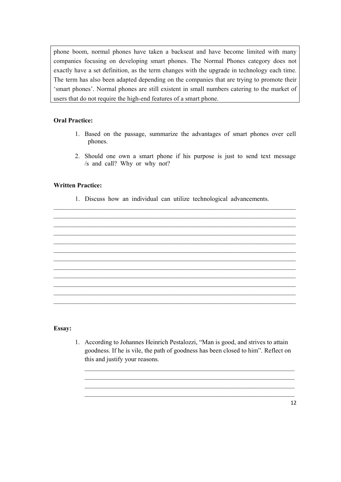phone boom, normal phones have taken a backseat and have become limited with many companies focusing on developing smart phones. The Normal Phones category does not exactly have a set definition, as the term changes with the upgrade in technology each time. The term has also been adapted depending on the companies that are trying to promote their 'smart phones'. Normal phones are still existent in small numbers catering to the market of users that do not require the high-end features of a smart phone.

#### Oral Practice:

- 1. Based on the passage, summarize the advantages of smart phones over cell phones.
- 2. Should one own a smart phone if his purpose is just to send text message /s and call? Why or why not?

#### Written Practice:

1. Discuss how an individual can utilize technological advancements. \_\_\_\_\_\_\_\_\_\_\_\_\_\_\_\_\_\_\_\_\_\_\_\_\_\_\_\_\_\_\_\_\_\_\_\_\_\_\_\_\_\_\_\_\_\_\_\_\_\_\_\_\_\_\_\_\_\_\_\_\_\_\_\_\_\_\_\_\_\_\_\_\_\_\_

\_\_\_\_\_\_\_\_\_\_\_\_\_\_\_\_\_\_\_\_\_\_\_\_\_\_\_\_\_\_\_\_\_\_\_\_\_\_\_\_\_\_\_\_\_\_\_\_\_\_\_\_\_\_\_\_\_\_\_\_\_\_\_\_\_\_\_\_\_\_\_\_\_\_\_ \_\_\_\_\_\_\_\_\_\_\_\_\_\_\_\_\_\_\_\_\_\_\_\_\_\_\_\_\_\_\_\_\_\_\_\_\_\_\_\_\_\_\_\_\_\_\_\_\_\_\_\_\_\_\_\_\_\_\_\_\_\_\_\_\_\_\_\_\_\_\_\_\_\_\_ \_\_\_\_\_\_\_\_\_\_\_\_\_\_\_\_\_\_\_\_\_\_\_\_\_\_\_\_\_\_\_\_\_\_\_\_\_\_\_\_\_\_\_\_\_\_\_\_\_\_\_\_\_\_\_\_\_\_\_\_\_\_\_\_\_\_\_\_\_\_\_\_\_\_\_ \_\_\_\_\_\_\_\_\_\_\_\_\_\_\_\_\_\_\_\_\_\_\_\_\_\_\_\_\_\_\_\_\_\_\_\_\_\_\_\_\_\_\_\_\_\_\_\_\_\_\_\_\_\_\_\_\_\_\_\_\_\_\_\_\_\_\_\_\_\_\_\_\_\_\_ \_\_\_\_\_\_\_\_\_\_\_\_\_\_\_\_\_\_\_\_\_\_\_\_\_\_\_\_\_\_\_\_\_\_\_\_\_\_\_\_\_\_\_\_\_\_\_\_\_\_\_\_\_\_\_\_\_\_\_\_\_\_\_\_\_\_\_\_\_\_\_\_\_\_\_ \_\_\_\_\_\_\_\_\_\_\_\_\_\_\_\_\_\_\_\_\_\_\_\_\_\_\_\_\_\_\_\_\_\_\_\_\_\_\_\_\_\_\_\_\_\_\_\_\_\_\_\_\_\_\_\_\_\_\_\_\_\_\_\_\_\_\_\_\_\_\_\_\_\_\_ \_\_\_\_\_\_\_\_\_\_\_\_\_\_\_\_\_\_\_\_\_\_\_\_\_\_\_\_\_\_\_\_\_\_\_\_\_\_\_\_\_\_\_\_\_\_\_\_\_\_\_\_\_\_\_\_\_\_\_\_\_\_\_\_\_\_\_\_\_\_\_\_\_\_\_ \_\_\_\_\_\_\_\_\_\_\_\_\_\_\_\_\_\_\_\_\_\_\_\_\_\_\_\_\_\_\_\_\_\_\_\_\_\_\_\_\_\_\_\_\_\_\_\_\_\_\_\_\_\_\_\_\_\_\_\_\_\_\_\_\_\_\_\_\_\_\_\_\_\_\_ \_\_\_\_\_\_\_\_\_\_\_\_\_\_\_\_\_\_\_\_\_\_\_\_\_\_\_\_\_\_\_\_\_\_\_\_\_\_\_\_\_\_\_\_\_\_\_\_\_\_\_\_\_\_\_\_\_\_\_\_\_\_\_\_\_\_\_\_\_\_\_\_\_\_\_ \_\_\_\_\_\_\_\_\_\_\_\_\_\_\_\_\_\_\_\_\_\_\_\_\_\_\_\_\_\_\_\_\_\_\_\_\_\_\_\_\_\_\_\_\_\_\_\_\_\_\_\_\_\_\_\_\_\_\_\_\_\_\_\_\_\_\_\_\_\_\_\_\_\_\_ \_\_\_\_\_\_\_\_\_\_\_\_\_\_\_\_\_\_\_\_\_\_\_\_\_\_\_\_\_\_\_\_\_\_\_\_\_\_\_\_\_\_\_\_\_\_\_\_\_\_\_\_\_\_\_\_\_\_\_\_\_\_\_\_\_\_\_\_\_\_\_\_\_\_\_

#### Essay:

1. According to Johannes Heinrich Pestalozzi, "Man is good, and strives to attain goodness. If he is vile, the path of goodness has been closed to him". Reflect on this and justify your reasons.

 $\_$  , and the contribution of the contribution of  $\mathcal{L}_1$  , and  $\mathcal{L}_2$  , and  $\mathcal{L}_3$  , and  $\mathcal{L}_4$  , and  $\mathcal{L}_5$  , and  $\mathcal{L}_6$  , and  $\mathcal{L}_7$  , and  $\mathcal{L}_8$  , and  $\mathcal{L}_7$  , and  $\mathcal{L}_8$  , and  $\mathcal{L}_9$  ,  $\_$  , and the contribution of the contribution of  $\mathcal{L}_1$  , and  $\mathcal{L}_2$  , and  $\mathcal{L}_3$  , and  $\mathcal{L}_4$  , and  $\mathcal{L}_5$  , and  $\mathcal{L}_6$  , and  $\mathcal{L}_7$  , and  $\mathcal{L}_8$  , and  $\mathcal{L}_7$  , and  $\mathcal{L}_8$  , and  $\mathcal{L}_9$  ,  $\_$  , and the contribution of the contribution of  $\mathcal{L}_1$  , and  $\mathcal{L}_2$  , and  $\mathcal{L}_3$  , and  $\mathcal{L}_4$  , and  $\mathcal{L}_5$  , and  $\mathcal{L}_6$  , and  $\mathcal{L}_7$  , and  $\mathcal{L}_8$  , and  $\mathcal{L}_7$  , and  $\mathcal{L}_8$  , and  $\mathcal{L}_9$  ,  $\_$  , and the contribution of the contribution of  $\mathcal{L}_1$  , and  $\mathcal{L}_2$  , and  $\mathcal{L}_3$  , and  $\mathcal{L}_4$  , and  $\mathcal{L}_5$  , and  $\mathcal{L}_6$  , and  $\mathcal{L}_7$  , and  $\mathcal{L}_8$  , and  $\mathcal{L}_7$  , and  $\mathcal{L}_8$  , and  $\mathcal{L}_9$  ,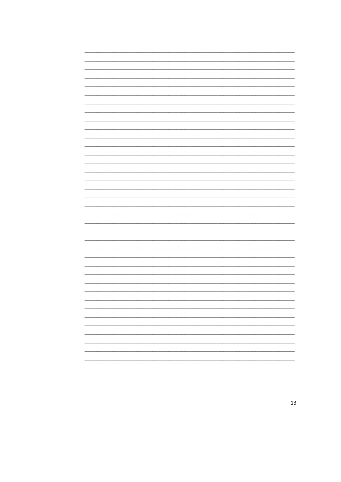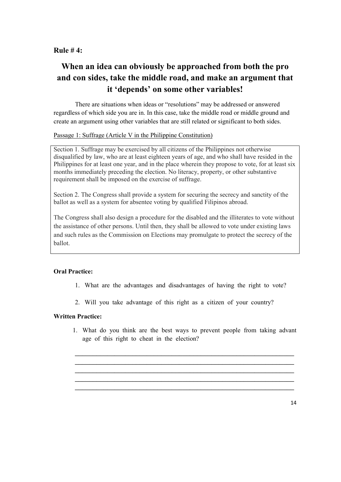#### Rule # 4:

# When an idea can obviously be approached from both the pro and con sides, take the middle road, and make an argument that it 'depends' on some other variables!

There are situations when ideas or "resolutions" may be addressed or answered regardless of which side you are in. In this case, take the middle road or middle ground and create an argument using other variables that are still related or significant to both sides.

#### Passage 1: Suffrage (Article V in the Philippine Constitution)

Section 1. Suffrage may be exercised by all citizens of the Philippines not otherwise disqualified by law, who are at least eighteen years of age, and who shall have resided in the Philippines for at least one year, and in the place wherein they propose to vote, for at least six months immediately preceding the election. No literacy, property, or other substantive requirement shall be imposed on the exercise of suffrage.

Section 2. The Congress shall provide a system for securing the secrecy and sanctity of the ballot as well as a system for absentee voting by qualified Filipinos abroad.

The Congress shall also design a procedure for the disabled and the illiterates to vote without the assistance of other persons. Until then, they shall be allowed to vote under existing laws and such rules as the Commission on Elections may promulgate to protect the secrecy of the ballot.

#### Oral Practice:

- 1. What are the advantages and disadvantages of having the right to vote?
- 2. Will you take advantage of this right as a citizen of your country?

#### Written Practice:

1. What do you think are the best ways to prevent people from taking advant age of this right to cheat in the election?

\_\_\_\_\_\_\_\_\_\_\_\_\_\_\_\_\_\_\_\_\_\_\_\_\_\_\_\_\_\_\_\_\_\_\_\_\_\_\_\_\_\_\_\_\_\_\_\_\_\_\_\_\_\_\_\_\_\_\_\_\_ \_\_\_\_\_\_\_\_\_\_\_\_\_\_\_\_\_\_\_\_\_\_\_\_\_\_\_\_\_\_\_\_\_\_\_\_\_\_\_\_\_\_\_\_\_\_\_\_\_\_\_\_\_\_\_\_\_\_\_\_\_ \_\_\_\_\_\_\_\_\_\_\_\_\_\_\_\_\_\_\_\_\_\_\_\_\_\_\_\_\_\_\_\_\_\_\_\_\_\_\_\_\_\_\_\_\_\_\_\_\_\_\_\_\_\_\_\_\_\_\_\_\_ \_\_\_\_\_\_\_\_\_\_\_\_\_\_\_\_\_\_\_\_\_\_\_\_\_\_\_\_\_\_\_\_\_\_\_\_\_\_\_\_\_\_\_\_\_\_\_\_\_\_\_\_\_\_\_\_\_\_\_\_\_ \_\_\_\_\_\_\_\_\_\_\_\_\_\_\_\_\_\_\_\_\_\_\_\_\_\_\_\_\_\_\_\_\_\_\_\_\_\_\_\_\_\_\_\_\_\_\_\_\_\_\_\_\_\_\_\_\_\_\_\_\_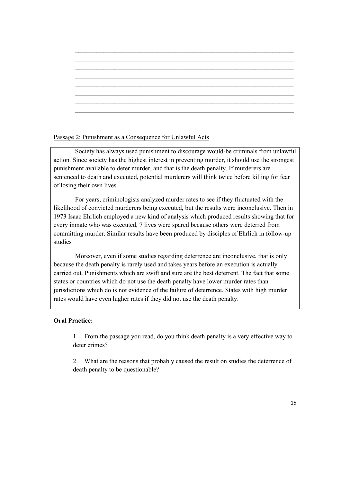#### Passage 2: Punishment as a Consequence for Unlawful Acts

Society has always used punishment to discourage would-be criminals from unlawful action. Since society has the highest interest in preventing murder, it should use the strongest punishment available to deter murder, and that is the death penalty. If murderers are sentenced to death and executed, potential murderers will think twice before killing for fear of losing their own lives.

\_\_\_\_\_\_\_\_\_\_\_\_\_\_\_\_\_\_\_\_\_\_\_\_\_\_\_\_\_\_\_\_\_\_\_\_\_\_\_\_\_\_\_\_\_\_\_\_\_\_\_\_\_\_\_\_\_\_\_\_\_ \_\_\_\_\_\_\_\_\_\_\_\_\_\_\_\_\_\_\_\_\_\_\_\_\_\_\_\_\_\_\_\_\_\_\_\_\_\_\_\_\_\_\_\_\_\_\_\_\_\_\_\_\_\_\_\_\_\_\_\_\_ \_\_\_\_\_\_\_\_\_\_\_\_\_\_\_\_\_\_\_\_\_\_\_\_\_\_\_\_\_\_\_\_\_\_\_\_\_\_\_\_\_\_\_\_\_\_\_\_\_\_\_\_\_\_\_\_\_\_\_\_\_ \_\_\_\_\_\_\_\_\_\_\_\_\_\_\_\_\_\_\_\_\_\_\_\_\_\_\_\_\_\_\_\_\_\_\_\_\_\_\_\_\_\_\_\_\_\_\_\_\_\_\_\_\_\_\_\_\_\_\_\_\_ \_\_\_\_\_\_\_\_\_\_\_\_\_\_\_\_\_\_\_\_\_\_\_\_\_\_\_\_\_\_\_\_\_\_\_\_\_\_\_\_\_\_\_\_\_\_\_\_\_\_\_\_\_\_\_\_\_\_\_\_\_ \_\_\_\_\_\_\_\_\_\_\_\_\_\_\_\_\_\_\_\_\_\_\_\_\_\_\_\_\_\_\_\_\_\_\_\_\_\_\_\_\_\_\_\_\_\_\_\_\_\_\_\_\_\_\_\_\_\_\_\_\_ \_\_\_\_\_\_\_\_\_\_\_\_\_\_\_\_\_\_\_\_\_\_\_\_\_\_\_\_\_\_\_\_\_\_\_\_\_\_\_\_\_\_\_\_\_\_\_\_\_\_\_\_\_\_\_\_\_\_\_\_\_ \_\_\_\_\_\_\_\_\_\_\_\_\_\_\_\_\_\_\_\_\_\_\_\_\_\_\_\_\_\_\_\_\_\_\_\_\_\_\_\_\_\_\_\_\_\_\_\_\_\_\_\_\_\_\_\_\_\_\_\_\_

For years, criminologists analyzed murder rates to see if they fluctuated with the likelihood of convicted murderers being executed, but the results were inconclusive. Then in 1973 Isaac Ehrlich employed a new kind of analysis which produced results showing that for every inmate who was executed, 7 lives were spared because others were deterred from committing murder. Similar results have been produced by disciples of Ehrlich in follow-up studies

Moreover, even if some studies regarding deterrence are inconclusive, that is only because the death penalty is rarely used and takes years before an execution is actually carried out. Punishments which are swift and sure are the best deterrent. The fact that some states or countries which do not use the death penalty have lower murder rates than jurisdictions which do is not evidence of the failure of deterrence. States with high murder rates would have even higher rates if they did not use the death penalty.

#### Oral Practice:

1. From the passage you read, do you think death penalty is a very effective way to deter crimes?

2. What are the reasons that probably caused the result on studies the deterrence of death penalty to be questionable?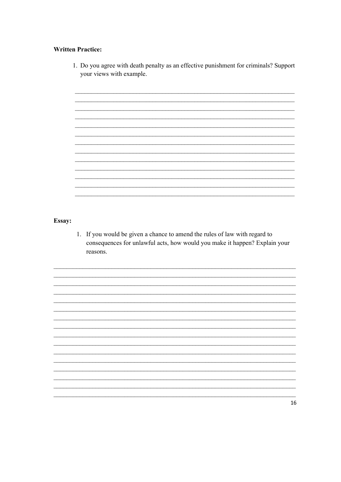#### **Written Practice:**

1. Do you agree with death penalty as an effective punishment for criminals? Support your views with example.

#### Essay:

1. If you would be given a chance to amend the rules of law with regard to consequences for unlawful acts, how would you make it happen? Explain your reasons.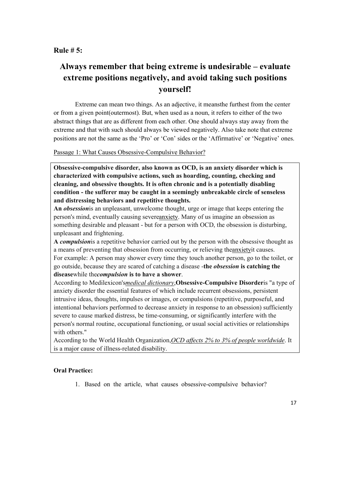#### Rule # 5:

# Always remember that being extreme is undesirable – evaluate extreme positions negatively, and avoid taking such positions yourself!

Extreme can mean two things. As an adjective, it meansthe furthest from the center or from a given point(outermost). But, when used as a noun, it refers to either of the two abstract things that are as different from each other. One should always stay away from the extreme and that with such should always be viewed negatively. Also take note that extreme positions are not the same as the 'Pro' or 'Con' sides or the 'Affirmative' or 'Negative' ones.

Passage 1: What Causes Obsessive-Compulsive Behavior?

Obsessive-compulsive disorder, also known as OCD, is an anxiety disorder which is characterized with compulsive actions, such as hoarding, counting, checking and cleaning, and obsessive thoughts. It is often chronic and is a potentially disabling condition - the sufferer may be caught in a seemingly unbreakable circle of senseless and distressing behaviors and repetitive thoughts.

An *obsession*is an unpleasant, unwelcome thought, urge or image that keeps entering the person's mind, eventually causing severeanxiety. Many of us imagine an obsession as something desirable and pleasant - but for a person with OCD, the obsession is disturbing, unpleasant and frightening.

A *compulsion*is a repetitive behavior carried out by the person with the obsessive thought as a means of preventing that obsession from occurring, or relieving theanxietyit causes. For example: A person may shower every time they touch another person, go to the toilet, or go outside, because they are scared of catching a disease -the *obsession* is catching the diseasewhile the*compulsion* is to have a shower.

According to Medilexicon's*medical dictionary*,Obsessive-Compulsive Disorderis "a type of anxiety disorder the essential features of which include recurrent obsessions, persistent intrusive ideas, thoughts, impulses or images, or compulsions (repetitive, purposeful, and intentional behaviors performed to decrease anxiety in response to an obsession) sufficiently severe to cause marked distress, be time-consuming, or significantly interfere with the person's normal routine, occupational functioning, or usual social activities or relationships with others."

According to the World Health Organization,*OCD affects 2% to 3% of people worldwide*. It is a major cause of illness-related disability.

#### Oral Practice:

1. Based on the article, what causes obsessive-compulsive behavior?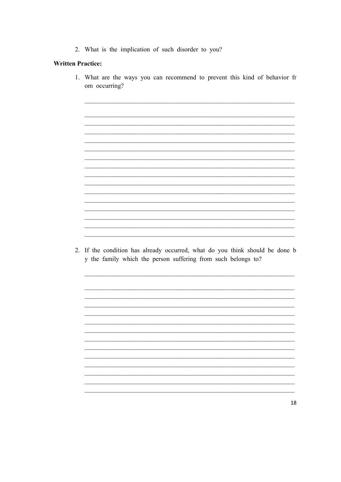2. What is the implication of such disorder to you?

#### **Written Practice:**

1. What are the ways you can recommend to prevent this kind of behavior fr om occurring?

2. If the condition has already occurred, what do you think should be done b y the family which the person suffering from such belongs to?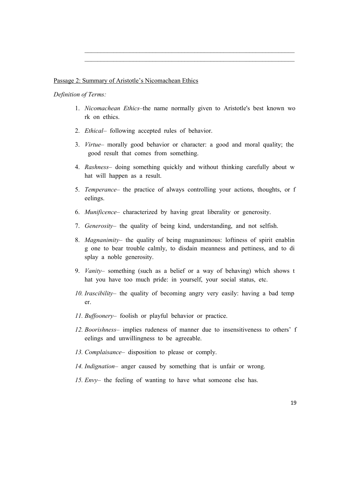Passage 2: Summary of Aristotle's Nicomachean Ethics

#### *Definition of Terms:*

1. *Nicomachean Ethics*–the name normally given to Aristotle's best known wo rk on ethics.

 $\_$  , and the contribution of the contribution of  $\mathcal{L}_1$  , and  $\mathcal{L}_2$  , and  $\mathcal{L}_3$  , and  $\mathcal{L}_4$  , and  $\mathcal{L}_5$  , and  $\mathcal{L}_6$  , and  $\mathcal{L}_7$  , and  $\mathcal{L}_8$  , and  $\mathcal{L}_7$  , and  $\mathcal{L}_8$  , and  $\mathcal{L}_9$  ,  $\_$  , and the contribution of the contribution of  $\mathcal{L}_1$  , and  $\mathcal{L}_2$  , and  $\mathcal{L}_3$  , and  $\mathcal{L}_4$  , and  $\mathcal{L}_5$  , and  $\mathcal{L}_6$  , and  $\mathcal{L}_7$  , and  $\mathcal{L}_8$  , and  $\mathcal{L}_7$  , and  $\mathcal{L}_8$  , and  $\mathcal{L}_9$  ,

- 2. *Ethical* following accepted rules of behavior.
- 3. *Virtue* morally good behavior or character: a good and moral quality; the good result that comes from something.
- 4. *Rashness* doing something quickly and without thinking carefully about w hat will happen as a result.
- 5. *Temperance* the practice of always controlling your actions, thoughts, or f eelings.
- 6. *Munificence* characterized by having great liberality or generosity.
- 7. *Generosity* the quality of being kind, understanding, and not selfish.
- 8. *Magnanimity* the quality of being magnanimous: loftiness of spirit enablin g one to bear trouble calmly, to disdain meanness and pettiness, and to di splay a noble generosity.
- 9. *Vanity* something (such as a belief or a way of behaving) which shows t hat you have too much pride: in yourself, your social status, etc.
- *10. Irascibility* the quality of becoming angry very easily: having a bad temp er.
- *11. Buffoonery* foolish or playful behavior or practice.
- *12. Boorishness* implies rudeness of manner due to insensitiveness to others' f eelings and unwillingness to be agreeable.
- *13. Complaisance* disposition to please or comply.
- *14. Indignation* anger caused by something that is unfair or wrong.
- *15. Envy* the feeling of wanting to have what someone else has.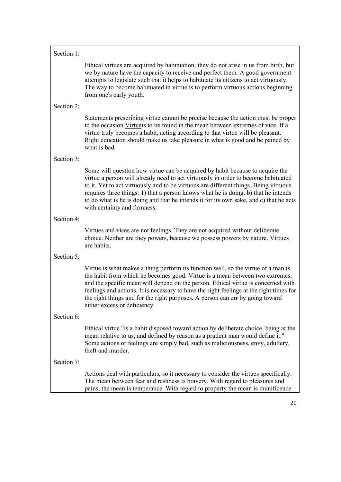| Section 1: |                                                                                                                                                                                                                                                                                                                                                                                                                                                                            |
|------------|----------------------------------------------------------------------------------------------------------------------------------------------------------------------------------------------------------------------------------------------------------------------------------------------------------------------------------------------------------------------------------------------------------------------------------------------------------------------------|
|            | Ethical virtues are acquired by habituation; they do not arise in us from birth, but<br>we by nature have the capacity to receive and perfect them. A good government<br>attempts to legislate such that it helps to habituate its citizens to act virtuously.<br>The way to become habituated in virtue is to perform virtuous actions beginning<br>from one's early youth.                                                                                               |
| Section 2: |                                                                                                                                                                                                                                                                                                                                                                                                                                                                            |
|            | Statements prescribing virtue cannot be precise because the action must be proper<br>to the occasion. Virtueis to be found in the mean between extremes of vice. If a<br>virtue truly becomes a habit, acting according to that virtue will be pleasant.<br>Right education should make us take pleasure in what is good and be pained by<br>what is bad.                                                                                                                  |
| Section 3: |                                                                                                                                                                                                                                                                                                                                                                                                                                                                            |
|            | Some will question how virtue can be acquired by habit because to acquire the<br>virtue a person will already need to act virtuously in order to become habituated<br>to it. Yet to act virtuously and to be virtuous are different things. Being virtuous<br>requires three things: 1) that a person knows what he is doing, b) that he intends<br>to do what is he is doing and that he intends it for its own sake, and c) that he acts<br>with certainty and firmness. |
| Section 4: |                                                                                                                                                                                                                                                                                                                                                                                                                                                                            |
|            | Virtues and vices are not feelings. They are not acquired without deliberate<br>choice. Neither are they powers, because we possess powers by nature. Virtues<br>are habits.                                                                                                                                                                                                                                                                                               |
| Section 5: |                                                                                                                                                                                                                                                                                                                                                                                                                                                                            |
|            | Virtue is what makes a thing perform its function well, so the virtue of a man is<br>the habit from which he becomes good. Virtue is a mean between two extremes,<br>and the specific mean will depend on the person. Ethical virtue is concerned with<br>feelings and actions. It is necessary to have the right feelings at the right times for<br>the right things and for the right purposes. A person can err by going toward<br>either excess or deficiency.         |
| Section 6: |                                                                                                                                                                                                                                                                                                                                                                                                                                                                            |
|            | Ethical virtue "is a habit disposed toward action by deliberate choice, being at the<br>mean relative to us, and defined by reason as a prudent man would define it."<br>Some actions or feelings are simply bad, such as maliciousness, envy, adultery,<br>theft and murder.                                                                                                                                                                                              |
| Section 7: |                                                                                                                                                                                                                                                                                                                                                                                                                                                                            |
|            | Actions deal with particulars, so it necessary to consider the virtues specifically.<br>The mean between fear and rashness is bravery. With regard to pleasures and<br>pains, the mean is temperance. With regard to property the mean is munificence                                                                                                                                                                                                                      |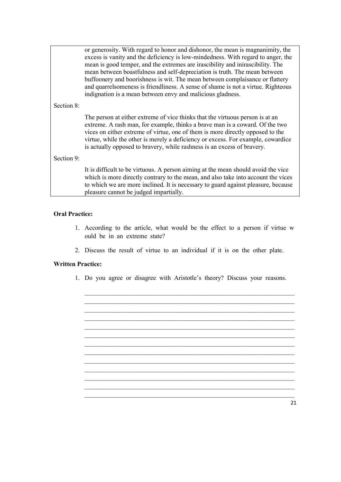or generosity. With regard to honor and dishonor, the mean is magnanimity, the excess is vanity and the deficiency is low-mindedness. With regard to anger, the mean is good temper, and the extremes are irascibility and inirascibility. The mean between boastfulness and self-depreciation is truth. The mean between buffoonery and boorishness is wit. The mean between complaisance or flattery and quarrelsomeness is friendliness. A sense of shame is not a virtue. Righteous indignation is a mean between envy and malicious gladness.

#### Section 8:

The person at either extreme of vice thinks that the virtuous person is at an extreme. A rash man, for example, thinks a brave man is a coward. Of the two vices on either extreme of virtue, one of them is more directly opposed to the virtue, while the other is merely a deficiency or excess. For example, cowardice is actually opposed to bravery, while rashness is an excess of bravery.

#### Section 9:

It is difficult to be virtuous. A person aiming at the mean should avoid the vice which is more directly contrary to the mean, and also take into account the vices to which we are more inclined. It is necessary to guard against pleasure, because pleasure cannot be judged impartially.

#### Oral Practice:

- 1. According to the article, what would be the effect to a person if virtue w ould be in an extreme state?
- 2. Discuss the result of virtue to an individual if it is on the other plate.

#### Written Practice:

1. Do you agree or disagree with Aristotle's theory? Discuss your reasons.

 $\_$  , and the contribution of the contribution of  $\mathcal{L}_1$  , and  $\mathcal{L}_2$  , and  $\mathcal{L}_3$  , and  $\mathcal{L}_4$  , and  $\mathcal{L}_5$  , and  $\mathcal{L}_6$  , and  $\mathcal{L}_7$  , and  $\mathcal{L}_8$  , and  $\mathcal{L}_7$  , and  $\mathcal{L}_8$  , and  $\mathcal{L}_9$  ,  $\_$  , and the contribution of the contribution of  $\mathcal{L}_1$  , and  $\mathcal{L}_2$  , and  $\mathcal{L}_3$  , and  $\mathcal{L}_4$  , and  $\mathcal{L}_5$  , and  $\mathcal{L}_6$  , and  $\mathcal{L}_7$  , and  $\mathcal{L}_8$  , and  $\mathcal{L}_7$  , and  $\mathcal{L}_8$  , and  $\mathcal{L}_9$  , \_\_\_\_\_\_\_\_\_\_\_\_\_\_\_\_\_\_\_\_\_\_\_\_\_\_\_\_\_\_\_\_\_\_\_\_\_\_\_\_\_\_\_\_\_\_\_\_\_\_\_\_\_\_\_\_\_\_\_\_\_\_\_\_\_  $\_$  , and the contribution of the contribution of  $\mathcal{L}_1$  , and  $\mathcal{L}_2$  , and  $\mathcal{L}_3$  , and  $\mathcal{L}_4$  , and  $\mathcal{L}_5$  , and  $\mathcal{L}_6$  , and  $\mathcal{L}_7$  , and  $\mathcal{L}_8$  , and  $\mathcal{L}_7$  , and  $\mathcal{L}_8$  , and  $\mathcal{L}_9$  ,  $\_$  , and the contribution of the contribution of  $\mathcal{L}_1$  , and  $\mathcal{L}_2$  , and  $\mathcal{L}_3$  , and  $\mathcal{L}_4$  , and  $\mathcal{L}_5$  , and  $\mathcal{L}_6$  , and  $\mathcal{L}_7$  , and  $\mathcal{L}_8$  , and  $\mathcal{L}_7$  , and  $\mathcal{L}_8$  , and  $\mathcal{L}_9$  ,  $\_$  , and the contribution of the contribution of  $\mathcal{L}_1$  , and  $\mathcal{L}_2$  , and  $\mathcal{L}_3$  , and  $\mathcal{L}_4$  , and  $\mathcal{L}_5$  , and  $\mathcal{L}_6$  , and  $\mathcal{L}_7$  , and  $\mathcal{L}_8$  , and  $\mathcal{L}_7$  , and  $\mathcal{L}_8$  , and  $\mathcal{L}_9$  , \_\_\_\_\_\_\_\_\_\_\_\_\_\_\_\_\_\_\_\_\_\_\_\_\_\_\_\_\_\_\_\_\_\_\_\_\_\_\_\_\_\_\_\_\_\_\_\_\_\_\_\_\_\_\_\_\_\_\_\_\_\_\_\_\_  $\_$  , and the contribution of the contribution of  $\mathcal{L}_1$  , and  $\mathcal{L}_2$  , and  $\mathcal{L}_3$  , and  $\mathcal{L}_4$  , and  $\mathcal{L}_5$  , and  $\mathcal{L}_6$  , and  $\mathcal{L}_7$  , and  $\mathcal{L}_8$  , and  $\mathcal{L}_7$  , and  $\mathcal{L}_8$  , and  $\mathcal{L}_9$  ,  $\_$  , and the contribution of the contribution of  $\mathcal{L}_1$  , and  $\mathcal{L}_2$  , and  $\mathcal{L}_3$  , and  $\mathcal{L}_4$  , and  $\mathcal{L}_5$  , and  $\mathcal{L}_6$  , and  $\mathcal{L}_7$  , and  $\mathcal{L}_8$  , and  $\mathcal{L}_7$  , and  $\mathcal{L}_8$  , and  $\mathcal{L}_9$  ,  $\_$  , and the set of the set of the set of the set of the set of the set of the set of the set of the set of the set of the set of the set of the set of the set of the set of the set of the set of the set of the set of th  $\_$  , and the set of the set of the set of the set of the set of the set of the set of the set of the set of the set of the set of the set of the set of the set of the set of the set of the set of the set of the set of th \_\_\_\_\_\_\_\_\_\_\_\_\_\_\_\_\_\_\_\_\_\_\_\_\_\_\_\_\_\_\_\_\_\_\_\_\_\_\_\_\_\_\_\_\_\_\_\_\_\_\_\_\_\_\_\_\_\_\_\_\_\_\_\_\_ \_\_\_\_\_\_\_\_\_\_\_\_\_\_\_\_\_\_\_\_\_\_\_\_\_\_\_\_\_\_\_\_\_\_\_\_\_\_\_\_\_\_\_\_\_\_\_\_\_\_\_\_\_\_\_\_\_\_\_\_\_\_\_\_\_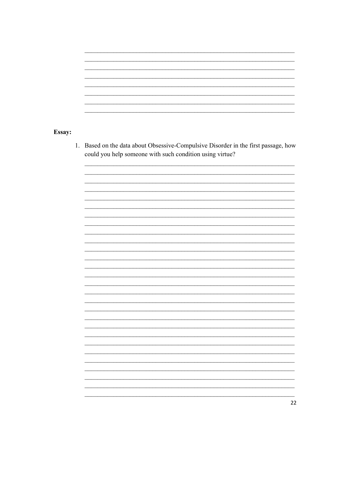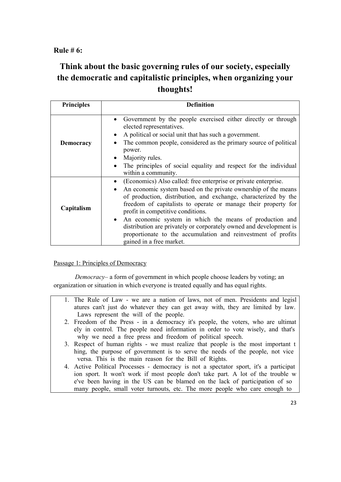Rule # 6:

# Think about the basic governing rules of our society, especially the democratic and capitalistic principles, when organizing your thoughts!

| <b>Principles</b> | <b>Definition</b>                                                                                                                                                                                                                                                                                                                                                                                                                                                                                                                           |
|-------------------|---------------------------------------------------------------------------------------------------------------------------------------------------------------------------------------------------------------------------------------------------------------------------------------------------------------------------------------------------------------------------------------------------------------------------------------------------------------------------------------------------------------------------------------------|
| <b>Democracy</b>  | Government by the people exercised either directly or through<br>elected representatives.<br>A political or social unit that has such a government.<br>The common people, considered as the primary source of political<br>$\bullet$<br>power.<br>Majority rules.<br>The principles of social equality and respect for the individual<br>within a community.                                                                                                                                                                                |
| Capitalism        | (Economics) Also called: free enterprise or private enterprise.<br>An economic system based on the private ownership of the means<br>of production, distribution, and exchange, characterized by the<br>freedom of capitalists to operate or manage their property for<br>profit in competitive conditions.<br>• An economic system in which the means of production and<br>distribution are privately or corporately owned and development is<br>proportionate to the accumulation and reinvestment of profits<br>gained in a free market. |

#### Passage 1: Principles of Democracy

*Democracy*– a form of government in which people choose leaders by voting; an organization or situation in which everyone is treated equally and has equal rights.

- 1. The Rule of Law we are a nation of laws, not of men. Presidents and legisl atures can't just do whatever they can get away with, they are limited by law. Laws represent the will of the people.
- 2. Freedom of the Press in a democracy it's people, the voters, who are ultimat ely in control. The people need information in order to vote wisely, and that's why we need a free press and freedom of political speech.
- 3. Respect of human rights we must realize that people is the most important t hing, the purpose of government is to serve the needs of the people, not vice versa. This is the main reason for the Bill of Rights.
- 4. Active Political Processes democracy is not a spectator sport, it's a participat ion sport. It won't work if most people don't take part. A lot of the trouble w e've been having in the US can be blamed on the lack of participation of so many people, small voter turnouts, etc. The more people who care enough to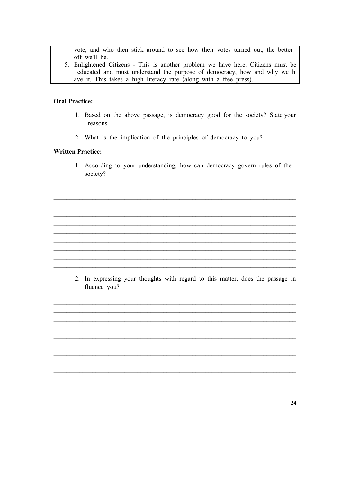vote, and who then stick around to see how their votes turned out, the better off we'll be.

5. Enlightened Citizens - This is another problem we have here. Citizens must be educated and must understand the purpose of democracy, how and why we h ave it. This takes a high literacy rate (along with a free press).

#### **Oral Practice:**

- 1. Based on the above passage, is democracy good for the society? State your reasons.
- 2. What is the implication of the principles of democracy to you?

#### **Written Practice:**

1. According to your understanding, how can democracy govern rules of the society?

2. In expressing your thoughts with regard to this matter, does the passage in fluence you?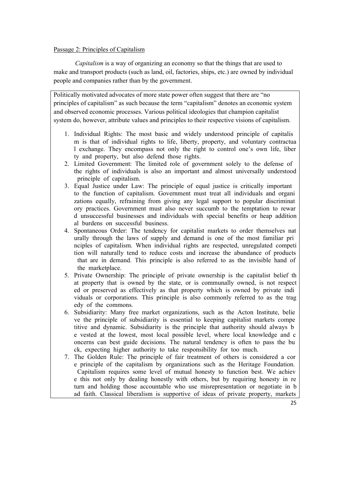#### Passage 2: Principles of Capitalism

*Capitalism* is a way of organizing an economy so that the things that are used to make and transport products (such as land, oil, factories, ships, etc.) are owned by individual people and companies rather than by the government.

Politically motivated advocates of more state power often suggest that there are "no principles of capitalism" as such because the term "capitalism" denotes an economic system and observed economic processes. Various political ideologies that champion capitalist system do, however, attribute values and principles to their respective visions of capitalism.

- 1. Individual Rights: The most basic and widely understood principle of capitalis m is that of individual rights to life, liberty, property, and voluntary contractua l exchange. They encompass not only the right to control one's own life, liber ty and property, but also defend those rights.
- 2. Limited Government: The limited role of government solely to the defense of the rights of individuals is also an important and almost universally understood principle of capitalism.
- 3. Equal Justice under Law: The principle of equal justice is critically important to the function of capitalism. Government must treat all individuals and organi zations equally, refraining from giving any legal support to popular discriminat ory practices. Government must also never succumb to the temptation to rewar d unsuccessful businesses and individuals with special benefits or heap addition al burdens on successful business.
- 4. Spontaneous Order: The tendency for capitalist markets to order themselves nat urally through the laws of supply and demand is one of the most familiar pri nciples of capitalism. When individual rights are respected, unregulated competi tion will naturally tend to reduce costs and increase the abundance of products that are in demand. This principle is also referred to as the invisible hand of the marketplace.
- 5. Private Ownership: The principle of private ownership is the capitalist belief th at property that is owned by the state, or is communally owned, is not respect ed or preserved as effectively as that property which is owned by private indi viduals or corporations. This principle is also commonly referred to as the trag edy of the commons.
- 6. Subsidiarity: Many free market organizations, such as the Acton Institute, belie ve the principle of subsidiarity is essential to keeping capitalist markets compe titive and dynamic. Subsidiarity is the principle that authority should always b e vested at the lowest, most local possible level, where local knowledge and c oncerns can best guide decisions. The natural tendency is often to pass the bu ck, expecting higher authority to take responsibility for too much.
- 7. The Golden Rule: The principle of fair treatment of others is considered a cor e principle of the capitalism by organizations such as the Heritage Foundation. Capitalism requires some level of mutual honesty to function best. We achiev e this not only by dealing honestly with others, but by requiring honesty in re turn and holding those accountable who use misrepresentation or negotiate in b ad faith. Classical liberalism is supportive of ideas of private property, markets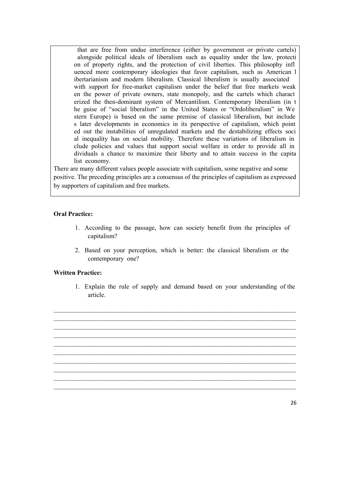that are free from undue interference (either by government or private cartels) alongside political ideals of liberalism such as equality under the law, protecti on of property rights, and the protection of civil liberties. This philosophy infl uenced more contemporary ideologies that favor capitalism, such as American 1 ibertarianism and modern liberalism. Classical liberalism is usually associated with support for free-market capitalism under the belief that free markets weak en the power of private owners, state monopoly, and the cartels which charact erized the then-dominant system of Mercantilism. Contemporary liberalism (in t he guise of "social liberalism" in the United States or "Ordoliberalism" in We stern Europe) is based on the same premise of classical liberalism, but include s later developments in economics in its perspective of capitalism, which point ed out the instabilities of unregulated markets and the destabilizing effects soci al inequality has on social mobility. Therefore these variations of liberalism in clude policies and values that support social welfare in order to provide all in dividuals a chance to maximize their liberty and to attain success in the capita list economy.

There are many different values people associate with capitalism, some negative and some positive. The preceding principles are a consensus of the principles of capitalism as expressed by supporters of capitalism and free markets.

#### **Oral Practice:**

- 1. According to the passage, how can society benefit from the principles of capitalism?
- 2. Based on your perception, which is better: the classical liberalism or the contemporary one?

#### **Written Practice:**

1. Explain the rule of supply and demand based on your understanding of the article.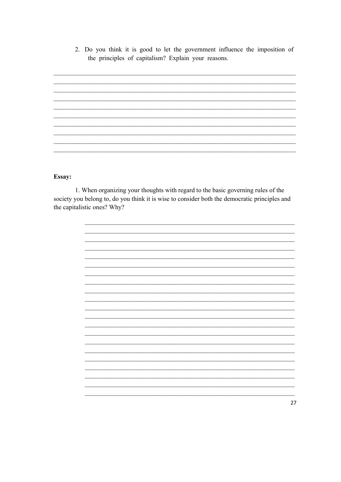2. Do you think it is good to let the government influence the imposition of the principles of capitalism? Explain your reasons.



#### Essay:

1. When organizing your thoughts with regard to the basic governing rules of the society you belong to, do you think it is wise to consider both the democratic principles and the capitalistic ones? Why?

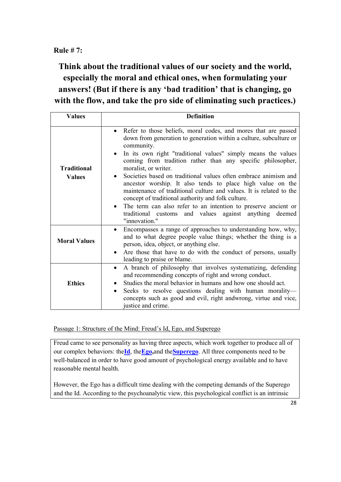Rule # 7:

Think about the traditional values of our society and the world, especially the moral and ethical ones, when formulating your answers! (But if there is any 'bad tradition' that is changing, go with the flow, and take the pro side of eliminating such practices.)

| <b>Values</b>       | <b>Definition</b>                                                                                                                                                                                                                                          |  |  |  |  |  |
|---------------------|------------------------------------------------------------------------------------------------------------------------------------------------------------------------------------------------------------------------------------------------------------|--|--|--|--|--|
|                     | Refer to those beliefs, moral codes, and mores that are passed<br>$\bullet$<br>down from generation to generation within a culture, subculture or<br>community.<br>In its own right "traditional values" simply means the values<br>$\bullet$              |  |  |  |  |  |
| <b>Traditional</b>  | coming from tradition rather than any specific philosopher,<br>moralist, or writer.                                                                                                                                                                        |  |  |  |  |  |
| <b>Values</b>       | Societies based on traditional values often embrace animism and<br>ancestor worship. It also tends to place high value on the<br>maintenance of traditional culture and values. It is related to the<br>concept of traditional authority and folk culture. |  |  |  |  |  |
|                     | The term can also refer to an intention to preserve ancient or<br>$\bullet$<br>traditional customs and values against anything deemed<br>"innovation."                                                                                                     |  |  |  |  |  |
| <b>Moral Values</b> | Encompasses a range of approaches to understanding how, why,<br>$\bullet$<br>and to what degree people value things; whether the thing is a<br>person, idea, object, or anything else.                                                                     |  |  |  |  |  |
|                     | Are those that have to do with the conduct of persons, usually<br>leading to praise or blame.                                                                                                                                                              |  |  |  |  |  |
|                     | A branch of philosophy that involves systematizing, defending<br>$\bullet$<br>and recommending concepts of right and wrong conduct.                                                                                                                        |  |  |  |  |  |
| <b>Ethics</b>       | Studies the moral behavior in humans and how one should act.<br>$\bullet$<br>Seeks to resolve questions dealing with human morality-<br>$\bullet$<br>concepts such as good and evil, right andwrong, virtue and vice,<br>justice and crime.                |  |  |  |  |  |

Passage 1: Structure of the Mind: Freud's Id, Ego, and Superego

Freud came to see personality as having three aspects, which work together to produce all of our complex behaviors: the  $Id$ , the  $Ego$ , and the Superego. All three components need to be well-balanced in order to have good amount of psychological energy available and to have reasonable mental health.

However, the Ego has a difficult time dealing with the competing demands of the Superego and the Id. According to the psychoanalytic view, this psychological conflict is an intrinsic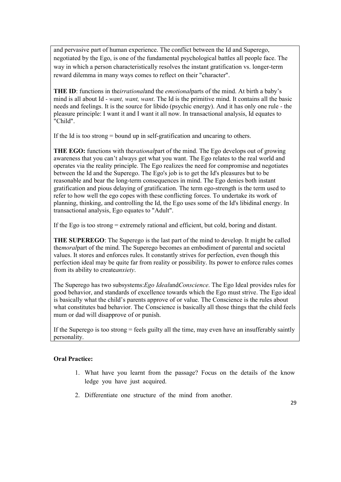and pervasive part of human experience. The conflict between the Id and Superego, negotiated by the Ego, is one of the fundamental psychological battles all people face. The way in which a person characteristically resolves the instant gratification vs. longer-term reward dilemma in many ways comes to reflect on their "character".

THE ID: functions in the*irrational*and the *emotional*parts of the mind. At birth a baby's mind is all about Id - *want, want, want*. The Id is the primitive mind. It contains all the basic needs and feelings. It is the source for libido (psychic energy). And it has only one rule - the pleasure principle: I want it and I want it all now. In transactional analysis, Id equates to "Child".

If the Id is too strong = bound up in self-gratification and uncaring to others.

THE EGO: functions with the*rational*part of the mind. The Ego develops out of growing awareness that you can't always get what you want. The Ego relates to the real world and operates via the reality principle. The Ego realizes the need for compromise and negotiates between the Id and the Superego. The Ego's job is to get the Id's pleasures but to be reasonable and bear the long-term consequences in mind. The Ego denies both instant gratification and pious delaying of gratification. The term ego-strength is the term used to refer to how well the ego copes with these conflicting forces. To undertake its work of planning, thinking, and controlling the Id, the Ego uses some of the Id's libidinal energy. In transactional analysis, Ego equates to "Adult".

If the Ego is too strong = extremely rational and efficient, but cold, boring and distant.

THE SUPEREGO: The Superego is the last part of the mind to develop. It might be called the*moral*part of the mind. The Superego becomes an embodiment of parental and societal values. It stores and enforces rules. It constantly strives for perfection, even though this perfection ideal may be quite far from reality or possibility. Its power to enforce rules comes from its ability to create*anxiety*.

The Superego has two subsystems:*Ego Ideal*and*Conscience*. The Ego Ideal provides rules for good behavior, and standards of excellence towards which the Ego must strive. The Ego ideal is basically what the child's parents approve of or value. The Conscience is the rules about what constitutes bad behavior. The Conscience is basically all those things that the child feels mum or dad will disapprove of or punish.

If the Superego is too strong  $=$  feels guilty all the time, may even have an insufferably saintly personality.

#### Oral Practice:

- 1. What have you learnt from the passage? Focus on the details of the know ledge you have just acquired.
- 2. Differentiate one structure of the mind from another.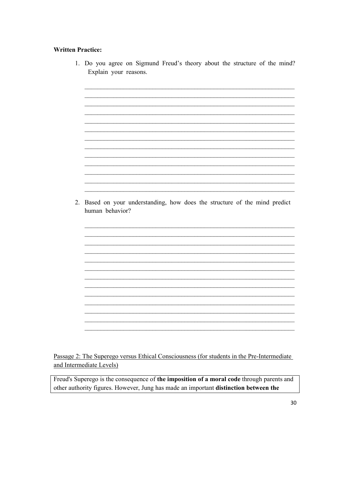#### **Written Practice:**

1. Do you agree on Sigmund Freud's theory about the structure of the mind? Explain your reasons.

2. Based on your understanding, how does the structure of the mind predict human behavior?

Passage 2: The Superego versus Ethical Consciousness (for students in the Pre-Intermediate and Intermediate Levels)

Freud's Superego is the consequence of the imposition of a moral code through parents and other authority figures. However, Jung has made an important distinction between the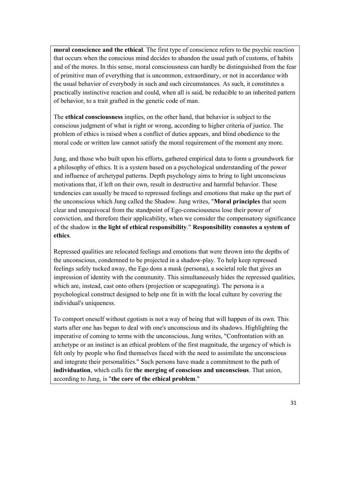moral conscience and the ethical. The first type of conscience refers to the psychic reaction that occurs when the conscious mind decides to abandon the usual path of customs, of habits and of the mores. In this sense, moral consciousness can hardly be distinguished from the fear of primitive man of everything that is uncommon, extraordinary, or not in accordance with the usual behavior of everybody in such and such circumstances. As such, it constitutes a practically instinctive reaction and could, when all is said, be reducible to an inherited pattern of behavior, to a trait grafted in the genetic code of man.

The ethical consciousness implies, on the other hand, that behavior is subject to the conscious judgment of what is right or wrong, according to higher criteria of justice. The problem of ethics is raised when a conflict of duties appears, and blind obedience to the moral code or written law cannot satisfy the moral requirement of the moment any more.

Jung, and those who built upon his efforts, gathered empirical data to form a groundwork for a philosophy of ethics. It is a system based on a psychological understanding of the power and influence of archetypal patterns. Depth psychology aims to bring to light unconscious motivations that, if left on their own, result in destructive and harmful behavior. These tendencies can usually be traced to repressed feelings and emotions that make up the part of the unconscious which Jung called the Shadow. Jung writes, "Moral principles that seem clear and unequivocal from the standpoint of Ego-consciousness lose their power of conviction, and therefore their applicability, when we consider the compensatory significance of the shadow in the light of ethical responsibility." Responsibility connotes a system of ethics.

Repressed qualities are relocated feelings and emotions that were thrown into the depths of the unconscious, condemned to be projected in a shadow-play. To help keep repressed feelings safely tucked away, the Ego dons a mask (persona), a societal role that gives an impression of identity with the community. This simultaneously hides the repressed qualities, which are, instead, cast onto others (projection or scapegoating). The persona is a psychological construct designed to help one fit in with the local culture by covering the individual's uniqueness.

To comport oneself without egotism is not a way of being that will happen of its own. This starts after one has begun to deal with one's unconscious and its shadows. Highlighting the imperative of coming to terms with the unconscious, Jung writes, "Confrontation with an archetype or an instinct is an ethical problem of the first magnitude, the urgency of which is felt only by people who find themselves faced with the need to assimilate the unconscious and integrate their personalities." Such persons have made a commitment to the path of individuation, which calls for the merging of conscious and unconscious. That union, according to Jung, is "the core of the ethical problem."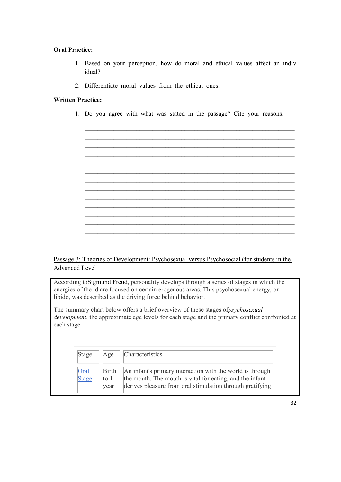- 1. Based on your perception, how do moral and ethical values affect an indiv idual?
- 2. Differentiate moral values from the ethical ones.

#### Written Practice:

1. Do you agree with what was stated in the passage? Cite your reasons.

 $\_$  , and the set of the set of the set of the set of the set of the set of the set of the set of the set of the set of the set of the set of the set of the set of the set of the set of the set of the set of the set of th  $\_$  , and the set of the set of the set of the set of the set of the set of the set of the set of the set of the set of the set of the set of the set of the set of the set of the set of the set of the set of the set of th  $\_$  , and the set of the set of the set of the set of the set of the set of the set of the set of the set of the set of the set of the set of the set of the set of the set of the set of the set of the set of the set of th  $\_$  , and the set of the set of the set of the set of the set of the set of the set of the set of the set of the set of the set of the set of the set of the set of the set of the set of the set of the set of the set of th  $\_$  , and the set of the set of the set of the set of the set of the set of the set of the set of the set of the set of the set of the set of the set of the set of the set of the set of the set of the set of the set of th \_\_\_\_\_\_\_\_\_\_\_\_\_\_\_\_\_\_\_\_\_\_\_\_\_\_\_\_\_\_\_\_\_\_\_\_\_\_\_\_\_\_\_\_\_\_\_\_\_\_\_\_\_\_\_\_\_\_\_\_\_\_\_\_\_  $\_$  , and the set of the set of the set of the set of the set of the set of the set of the set of the set of the set of the set of the set of the set of the set of the set of the set of the set of the set of the set of th  $\_$  , and the set of the set of the set of the set of the set of the set of the set of the set of the set of the set of the set of the set of the set of the set of the set of the set of the set of the set of the set of th  $\_$  , and the set of the set of the set of the set of the set of the set of the set of the set of the set of the set of the set of the set of the set of the set of the set of the set of the set of the set of the set of th \_\_\_\_\_\_\_\_\_\_\_\_\_\_\_\_\_\_\_\_\_\_\_\_\_\_\_\_\_\_\_\_\_\_\_\_\_\_\_\_\_\_\_\_\_\_\_\_\_\_\_\_\_\_\_\_\_\_\_\_\_\_\_\_\_  $\_$  , and the set of the set of the set of the set of the set of the set of the set of the set of the set of the set of the set of the set of the set of the set of the set of the set of the set of the set of the set of th  $\_$  , and the set of the set of the set of the set of the set of the set of the set of the set of the set of the set of the set of the set of the set of the set of the set of the set of the set of the set of the set of th  $\_$  , and the set of the set of the set of the set of the set of the set of the set of the set of the set of the set of the set of the set of the set of the set of the set of the set of the set of the set of the set of th

Passage 3: Theories of Development: Psychosexual versus Psychosocial (for students in the Advanced Level

According toSigmund Freud, personality develops through a series of stages in which the energies of the id are focused on certain erogenous areas. This psychosexual energy, or libido, was described as the driving force behind behavior.

The summary chart below offers a brief overview of these stages of*psychosexual development*, the approximate age levels for each stage and the primary conflict confronted at each stage.

| Stage                | Age                     | Characteristics                                                                                                                                                                    |
|----------------------|-------------------------|------------------------------------------------------------------------------------------------------------------------------------------------------------------------------------|
| Oral<br><b>Stage</b> | Birth<br>to $1$<br>vear | An infant's primary interaction with the world is through<br>the mouth. The mouth is vital for eating, and the infant<br>derives pleasure from oral stimulation through gratifying |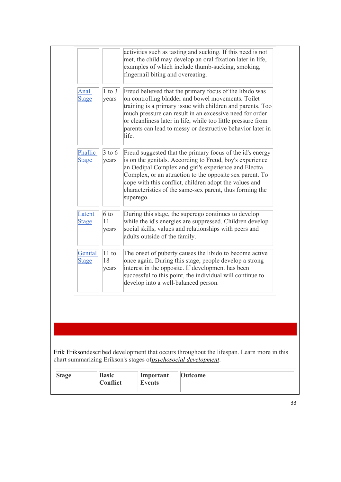|                         | years                           | on controlling bladder and bowel movements. Toilet<br>training is a primary issue with children and parents. Too<br>much pressure can result in an excessive need for order<br>or cleanliness later in life, while too little pressure from<br>parents can lead to messy or destructive behavior later in<br>life.                                                           |
|-------------------------|---------------------------------|------------------------------------------------------------------------------------------------------------------------------------------------------------------------------------------------------------------------------------------------------------------------------------------------------------------------------------------------------------------------------|
| Phallic<br><b>Stage</b> | $3$ to 6<br>years               | Freud suggested that the primary focus of the id's energy<br>is on the genitals. According to Freud, boy's experience<br>an Oedipal Complex and girl's experience and Electra<br>Complex, or an attraction to the opposite sex parent. To<br>cope with this conflict, children adopt the values and<br>characteristics of the same-sex parent, thus forming the<br>superego. |
| Latent<br><b>Stage</b>  | $6$ to<br>$ 11\rangle$<br>years | During this stage, the superego continues to develop<br>while the id's energies are suppressed. Children develop<br>social skills, values and relationships with peers and<br>adults outside of the family.                                                                                                                                                                  |
| Genital<br><b>Stage</b> | $11$ to<br>18<br>years          | The onset of puberty causes the libido to become active<br>once again. During this stage, people develop a strong<br>interest in the opposite. If development has been<br>successful to this point, the individual will continue to<br>develop into a well-balanced person.                                                                                                  |

| <b>Stage</b> | <b>Basic</b><br>Conflict | Important<br><b>Events</b> | <b>Outcome</b> |
|--------------|--------------------------|----------------------------|----------------|
|--------------|--------------------------|----------------------------|----------------|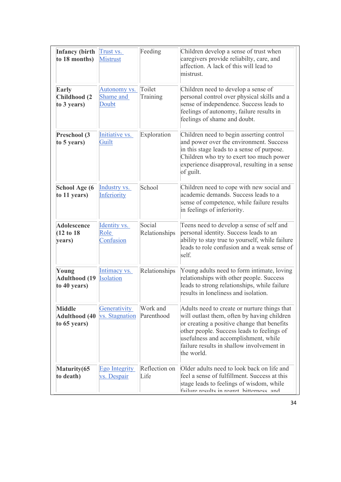| <b>Infancy (birth</b><br>to 18 months)                | Trust vs.<br><b>Mistrust</b>        | Feeding                 | Children develop a sense of trust when<br>caregivers provide reliabilty, care, and<br>affection. A lack of this will lead to<br>mistrust.                                                                                                                                                   |
|-------------------------------------------------------|-------------------------------------|-------------------------|---------------------------------------------------------------------------------------------------------------------------------------------------------------------------------------------------------------------------------------------------------------------------------------------|
| <b>Early</b><br>Childhood (2<br>to 3 years)           | Autonomy vs.<br>Shame and<br>Doubt  | Toilet<br>Training      | Children need to develop a sense of<br>personal control over physical skills and a<br>sense of independence. Success leads to<br>feelings of autonomy, failure results in<br>feelings of shame and doubt.                                                                                   |
| Preschool (3<br>to 5 years)                           | Initiative vs.<br>Guilt             | Exploration             | Children need to begin asserting control<br>and power over the environment. Success<br>in this stage leads to a sense of purpose.<br>Children who try to exert too much power<br>experience disapproval, resulting in a sense<br>of guilt.                                                  |
| School Age (6<br>to 11 years)                         | Industry vs.<br>Inferiority         | School                  | Children need to cope with new social and<br>academic demands. Success leads to a<br>sense of competence, while failure results<br>in feelings of inferiority.                                                                                                                              |
| <b>Adolescence</b><br>(12 to 18)<br>years)            | Identity vs.<br>Role<br>Confusion   | Social<br>Relationships | Teens need to develop a sense of self and<br>personal identity. Success leads to an<br>ability to stay true to yourself, while failure<br>leads to role confusion and a weak sense of<br>self.                                                                                              |
| Young<br><b>Adulthood</b> (19<br>to 40 years)         | Intimacy vs.<br>Isolation           | Relationships           | Young adults need to form intimate, loving<br>relationships with other people. Success<br>leads to strong relationships, while failure<br>results in loneliness and isolation.                                                                                                              |
| <b>Middle</b><br><b>Adulthood</b> (40<br>to 65 years) | Generativity<br>vs. Stagnation      | Work and<br>Parenthood  | Adults need to create or nurture things that<br>will outlast them, often by having children<br>or creating a positive change that benefits<br>other people. Success leads to feelings of<br>usefulness and accomplishment, while<br>failure results in shallow involvement in<br>the world. |
| Maturity(65<br>to death)                              | <b>Ego Integrity</b><br>vs. Despair | Reflection on<br>Life   | Older adults need to look back on life and<br>feel a sense of fulfillment. Success at this<br>stage leads to feelings of wisdom, while<br>failure results in regret hitterness and                                                                                                          |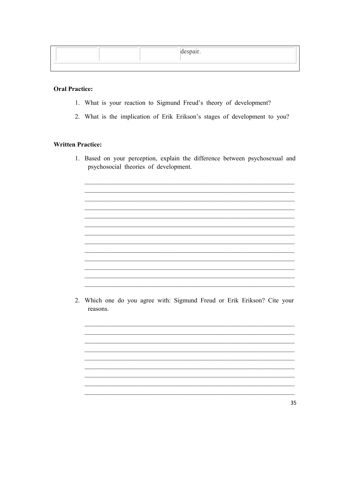| $\sim$ span. |
|--------------|
|              |

- 1. What is your reaction to Sigmund Freud's theory of development?
- 2. What is the implication of Erik Erikson's stages of development to you?

#### **Written Practice:**

1. Based on your perception, explain the difference between psychosexual and psychosocial theories of development.

2. Which one do you agree with: Sigmund Freud or Erik Erikson? Cite your reasons.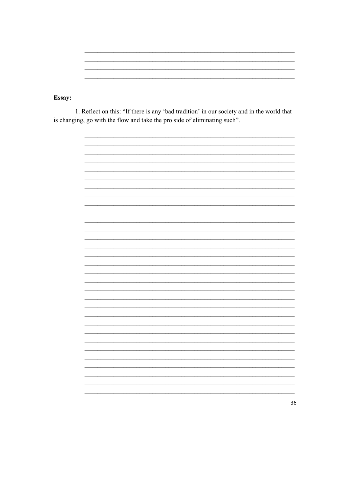Essay:

1. Reflect on this: "If there is any 'bad tradition' in our society and in the world that is changing, go with the flow and take the pro side of eliminating such".

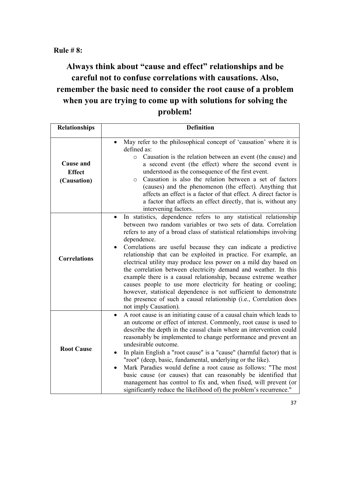Rule # 8:

# Always think about "cause and effect" relationships and be careful not to confuse correlations with causations. Also, remember the basic need to consider the root cause of a problem when you are trying to come up with solutions for solving the problem!

| <b>Relationships</b>                             | <b>Definition</b>                                                                                                                                                                                                                                                                                                                                                                                                                                                                                                                                                                                                                                                                                                                                                                                                                      |  |  |  |
|--------------------------------------------------|----------------------------------------------------------------------------------------------------------------------------------------------------------------------------------------------------------------------------------------------------------------------------------------------------------------------------------------------------------------------------------------------------------------------------------------------------------------------------------------------------------------------------------------------------------------------------------------------------------------------------------------------------------------------------------------------------------------------------------------------------------------------------------------------------------------------------------------|--|--|--|
| <b>Cause and</b><br><b>Effect</b><br>(Causation) | May refer to the philosophical concept of 'causation' where it is<br>defined as:<br>Causation is the relation between an event (the cause) and<br>$\circ$<br>a second event (the effect) where the second event is<br>understood as the consequence of the first event.<br>Causation is also the relation between a set of factors<br>$\circ$<br>(causes) and the phenomenon (the effect). Anything that<br>affects an effect is a factor of that effect. A direct factor is<br>a factor that affects an effect directly, that is, without any<br>intervening factors.                                                                                                                                                                                                                                                                 |  |  |  |
| <b>Correlations</b>                              | In statistics, dependence refers to any statistical relationship<br>$\bullet$<br>between two random variables or two sets of data. Correlation<br>refers to any of a broad class of statistical relationships involving<br>dependence.<br>Correlations are useful because they can indicate a predictive<br>$\bullet$<br>relationship that can be exploited in practice. For example, an<br>electrical utility may produce less power on a mild day based on<br>the correlation between electricity demand and weather. In this<br>example there is a causal relationship, because extreme weather<br>causes people to use more electricity for heating or cooling;<br>however, statistical dependence is not sufficient to demonstrate<br>the presence of such a causal relationship (i.e., Correlation does<br>not imply Causation). |  |  |  |
| <b>Root Cause</b>                                | A root cause is an initiating cause of a causal chain which leads to<br>$\bullet$<br>an outcome or effect of interest. Commonly, root cause is used to<br>describe the depth in the causal chain where an intervention could<br>reasonably be implemented to change performance and prevent an<br>undesirable outcome.<br>In plain English a "root cause" is a "cause" (harmful factor) that is<br>$\bullet$<br>"root" (deep, basic, fundamental, underlying or the like).<br>Mark Paradies would define a root cause as follows: "The most<br>$\bullet$<br>basic cause (or causes) that can reasonably be identified that<br>management has control to fix and, when fixed, will prevent (or<br>significantly reduce the likelihood of) the problem's recurrence."                                                                    |  |  |  |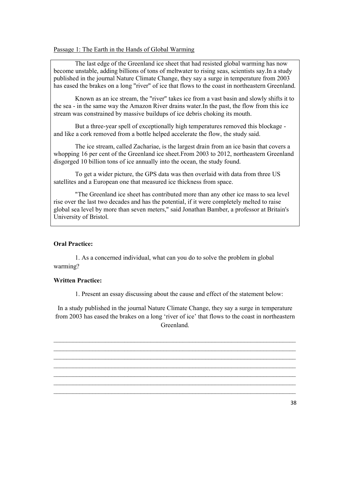#### Passage 1: The Earth in the Hands of Global Warming

The last edge of the Greenland ice sheet that had resisted global warming has now become unstable, adding billions of tons of meltwater to rising seas, scientists say.In a study published in the journal Nature Climate Change, they say a surge in temperature from 2003 has eased the brakes on a long "river" of ice that flows to the coast in northeastern Greenland.

Known as an ice stream, the "river" takes ice from a vast basin and slowly shifts it to the sea - in the same way the Amazon River drains water.In the past, the flow from this ice stream was constrained by massive buildups of ice debris choking its mouth.

But a three-year spell of exceptionally high temperatures removed this blockage and like a cork removed from a bottle helped accelerate the flow, the study said.

The ice stream, called Zachariae, is the largest drain from an ice basin that covers a whopping 16 per cent of the Greenland ice sheet.From 2003 to 2012, northeastern Greenland disgorged 10 billion tons of ice annually into the ocean, the study found.

To get a wider picture, the GPS data was then overlaid with data from three US satellites and a European one that measured ice thickness from space.

"The Greenland ice sheet has contributed more than any other ice mass to sea level rise over the last two decades and has the potential, if it were completely melted to raise global sea level by more than seven meters," said Jonathan Bamber, a professor at Britain's University of Bristol.

#### Oral Practice:

1. As a concerned individual, what can you do to solve the problem in global warming?

#### Written Practice:

1. Present an essay discussing about the cause and effect of the statement below:

In a study published in the journal Nature Climate Change, they say a surge in temperature from 2003 has eased the brakes on a long 'river of ice' that flows to the coast in northeastern Greenland.

\_\_\_\_\_\_\_\_\_\_\_\_\_\_\_\_\_\_\_\_\_\_\_\_\_\_\_\_\_\_\_\_\_\_\_\_\_\_\_\_\_\_\_\_\_\_\_\_\_\_\_\_\_\_\_\_\_\_\_\_\_\_\_\_\_\_\_\_\_\_\_\_\_\_\_ \_\_\_\_\_\_\_\_\_\_\_\_\_\_\_\_\_\_\_\_\_\_\_\_\_\_\_\_\_\_\_\_\_\_\_\_\_\_\_\_\_\_\_\_\_\_\_\_\_\_\_\_\_\_\_\_\_\_\_\_\_\_\_\_\_\_\_\_\_\_\_\_\_\_\_ \_\_\_\_\_\_\_\_\_\_\_\_\_\_\_\_\_\_\_\_\_\_\_\_\_\_\_\_\_\_\_\_\_\_\_\_\_\_\_\_\_\_\_\_\_\_\_\_\_\_\_\_\_\_\_\_\_\_\_\_\_\_\_\_\_\_\_\_\_\_\_\_\_\_\_ \_\_\_\_\_\_\_\_\_\_\_\_\_\_\_\_\_\_\_\_\_\_\_\_\_\_\_\_\_\_\_\_\_\_\_\_\_\_\_\_\_\_\_\_\_\_\_\_\_\_\_\_\_\_\_\_\_\_\_\_\_\_\_\_\_\_\_\_\_\_\_\_\_\_\_ \_\_\_\_\_\_\_\_\_\_\_\_\_\_\_\_\_\_\_\_\_\_\_\_\_\_\_\_\_\_\_\_\_\_\_\_\_\_\_\_\_\_\_\_\_\_\_\_\_\_\_\_\_\_\_\_\_\_\_\_\_\_\_\_\_\_\_\_\_\_\_\_\_\_\_ \_\_\_\_\_\_\_\_\_\_\_\_\_\_\_\_\_\_\_\_\_\_\_\_\_\_\_\_\_\_\_\_\_\_\_\_\_\_\_\_\_\_\_\_\_\_\_\_\_\_\_\_\_\_\_\_\_\_\_\_\_\_\_\_\_\_\_\_\_\_\_\_\_\_\_ \_\_\_\_\_\_\_\_\_\_\_\_\_\_\_\_\_\_\_\_\_\_\_\_\_\_\_\_\_\_\_\_\_\_\_\_\_\_\_\_\_\_\_\_\_\_\_\_\_\_\_\_\_\_\_\_\_\_\_\_\_\_\_\_\_\_\_\_\_\_\_\_\_\_\_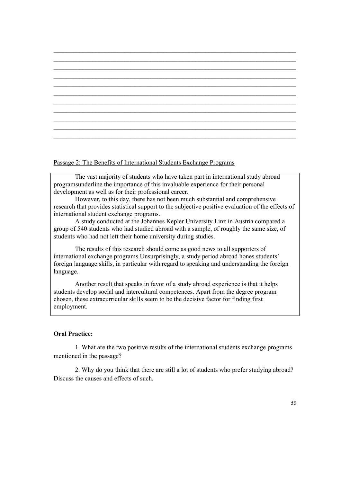#### Passage 2: The Benefits of International Students Exchange Programs

The vast majority of students who have taken part in international study abroad programsunderline the importance of this invaluable experience for their personal development as well as for their professional career.

However, to this day, there has not been much substantial and comprehensive research that provides statistical support to the subjective positive evaluation of the effects of international student exchange programs.

\_\_\_\_\_\_\_\_\_\_\_\_\_\_\_\_\_\_\_\_\_\_\_\_\_\_\_\_\_\_\_\_\_\_\_\_\_\_\_\_\_\_\_\_\_\_\_\_\_\_\_\_\_\_\_\_\_\_\_\_\_\_\_\_\_\_\_\_\_\_\_\_\_\_\_ \_\_\_\_\_\_\_\_\_\_\_\_\_\_\_\_\_\_\_\_\_\_\_\_\_\_\_\_\_\_\_\_\_\_\_\_\_\_\_\_\_\_\_\_\_\_\_\_\_\_\_\_\_\_\_\_\_\_\_\_\_\_\_\_\_\_\_\_\_\_\_\_\_\_\_ \_\_\_\_\_\_\_\_\_\_\_\_\_\_\_\_\_\_\_\_\_\_\_\_\_\_\_\_\_\_\_\_\_\_\_\_\_\_\_\_\_\_\_\_\_\_\_\_\_\_\_\_\_\_\_\_\_\_\_\_\_\_\_\_\_\_\_\_\_\_\_\_\_\_\_ \_\_\_\_\_\_\_\_\_\_\_\_\_\_\_\_\_\_\_\_\_\_\_\_\_\_\_\_\_\_\_\_\_\_\_\_\_\_\_\_\_\_\_\_\_\_\_\_\_\_\_\_\_\_\_\_\_\_\_\_\_\_\_\_\_\_\_\_\_\_\_\_\_\_\_ \_\_\_\_\_\_\_\_\_\_\_\_\_\_\_\_\_\_\_\_\_\_\_\_\_\_\_\_\_\_\_\_\_\_\_\_\_\_\_\_\_\_\_\_\_\_\_\_\_\_\_\_\_\_\_\_\_\_\_\_\_\_\_\_\_\_\_\_\_\_\_\_\_\_\_ \_\_\_\_\_\_\_\_\_\_\_\_\_\_\_\_\_\_\_\_\_\_\_\_\_\_\_\_\_\_\_\_\_\_\_\_\_\_\_\_\_\_\_\_\_\_\_\_\_\_\_\_\_\_\_\_\_\_\_\_\_\_\_\_\_\_\_\_\_\_\_\_\_\_\_ \_\_\_\_\_\_\_\_\_\_\_\_\_\_\_\_\_\_\_\_\_\_\_\_\_\_\_\_\_\_\_\_\_\_\_\_\_\_\_\_\_\_\_\_\_\_\_\_\_\_\_\_\_\_\_\_\_\_\_\_\_\_\_\_\_\_\_\_\_\_\_\_\_\_\_ \_\_\_\_\_\_\_\_\_\_\_\_\_\_\_\_\_\_\_\_\_\_\_\_\_\_\_\_\_\_\_\_\_\_\_\_\_\_\_\_\_\_\_\_\_\_\_\_\_\_\_\_\_\_\_\_\_\_\_\_\_\_\_\_\_\_\_\_\_\_\_\_\_\_\_ \_\_\_\_\_\_\_\_\_\_\_\_\_\_\_\_\_\_\_\_\_\_\_\_\_\_\_\_\_\_\_\_\_\_\_\_\_\_\_\_\_\_\_\_\_\_\_\_\_\_\_\_\_\_\_\_\_\_\_\_\_\_\_\_\_\_\_\_\_\_\_\_\_\_\_ \_\_\_\_\_\_\_\_\_\_\_\_\_\_\_\_\_\_\_\_\_\_\_\_\_\_\_\_\_\_\_\_\_\_\_\_\_\_\_\_\_\_\_\_\_\_\_\_\_\_\_\_\_\_\_\_\_\_\_\_\_\_\_\_\_\_\_\_\_\_\_\_\_\_\_ \_\_\_\_\_\_\_\_\_\_\_\_\_\_\_\_\_\_\_\_\_\_\_\_\_\_\_\_\_\_\_\_\_\_\_\_\_\_\_\_\_\_\_\_\_\_\_\_\_\_\_\_\_\_\_\_\_\_\_\_\_\_\_\_\_\_\_\_\_\_\_\_\_\_\_

A study conducted at the Johannes Kepler University Linz in Austria compared a group of 540 students who had studied abroad with a sample, of roughly the same size, of students who had not left their home university during studies.

The results of this research should come as good news to all supporters of international exchange programs.Unsurprisingly, a study period abroad hones students' foreign language skills, in particular with regard to speaking and understanding the foreign language.

Another result that speaks in favor of a study abroad experience is that it helps students develop social and intercultural competences. Apart from the degree program chosen, these extracurricular skills seem to be the decisive factor for finding first employment.

#### Oral Practice:

1. What are the two positive results of the international students exchange programs mentioned in the passage?

2. Why do you think that there are still a lot of students who prefer studying abroad? Discuss the causes and effects of such.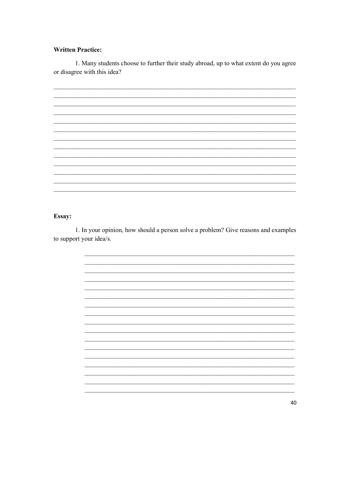#### **Written Practice:**

1. Many students choose to further their study abroad, up to what extent do you agree or disagree with this idea?

#### Essay:

1. In your opinion, how should a person solve a problem? Give reasons and examples to support your idea/s.

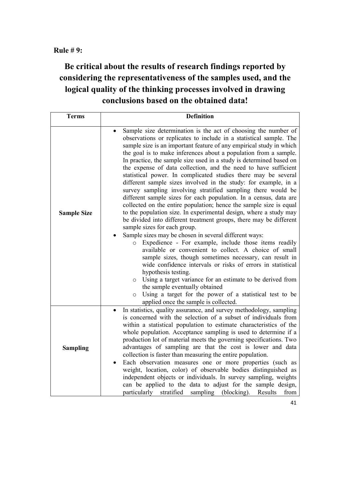Rule # 9:

# Be critical about the results of research findings reported by considering the representativeness of the samples used, and the logical quality of the thinking processes involved in drawing conclusions based on the obtained data!

| <b>Terms</b>       | <b>Definition</b>                                                                                                                                                                                                                                                                                                                                                                                                                                                                                                                                                                                                                                                                                                                                                                                                                                                                                                                                                                                                                                                                                                                                                                                                                                                                                                                                                                                                                                                                                             |
|--------------------|---------------------------------------------------------------------------------------------------------------------------------------------------------------------------------------------------------------------------------------------------------------------------------------------------------------------------------------------------------------------------------------------------------------------------------------------------------------------------------------------------------------------------------------------------------------------------------------------------------------------------------------------------------------------------------------------------------------------------------------------------------------------------------------------------------------------------------------------------------------------------------------------------------------------------------------------------------------------------------------------------------------------------------------------------------------------------------------------------------------------------------------------------------------------------------------------------------------------------------------------------------------------------------------------------------------------------------------------------------------------------------------------------------------------------------------------------------------------------------------------------------------|
| <b>Sample Size</b> | Sample size determination is the act of choosing the number of<br>observations or replicates to include in a statistical sample. The<br>sample size is an important feature of any empirical study in which<br>the goal is to make inferences about a population from a sample.<br>In practice, the sample size used in a study is determined based on<br>the expense of data collection, and the need to have sufficient<br>statistical power. In complicated studies there may be several<br>different sample sizes involved in the study: for example, in a<br>survey sampling involving stratified sampling there would be<br>different sample sizes for each population. In a census, data are<br>collected on the entire population; hence the sample size is equal<br>to the population size. In experimental design, where a study may<br>be divided into different treatment groups, there may be different<br>sample sizes for each group.<br>Sample sizes may be chosen in several different ways:<br>Expedience - For example, include those items readily<br>$\circ$<br>available or convenient to collect. A choice of small<br>sample sizes, though sometimes necessary, can result in<br>wide confidence intervals or risks of errors in statistical<br>hypothesis testing.<br>o Using a target variance for an estimate to be derived from<br>the sample eventually obtained<br>Using a target for the power of a statistical test to be<br>$\circ$<br>applied once the sample is collected. |
| <b>Sampling</b>    | In statistics, quality assurance, and survey methodology, sampling<br>$\bullet$<br>is concerned with the selection of a subset of individuals from<br>within a statistical population to estimate characteristics of the<br>whole population. Acceptance sampling is used to determine if a<br>production lot of material meets the governing specifications. Two<br>advantages of sampling are that the cost is lower and data<br>collection is faster than measuring the entire population.<br>Each observation measures one or more properties (such as<br>weight, location, color) of observable bodies distinguished as<br>independent objects or individuals. In survey sampling, weights<br>can be applied to the data to adjust for the sample design,<br>particularly<br>stratified<br>(blocking).<br>Results<br>from<br>sampling                                                                                                                                                                                                                                                                                                                                                                                                                                                                                                                                                                                                                                                                    |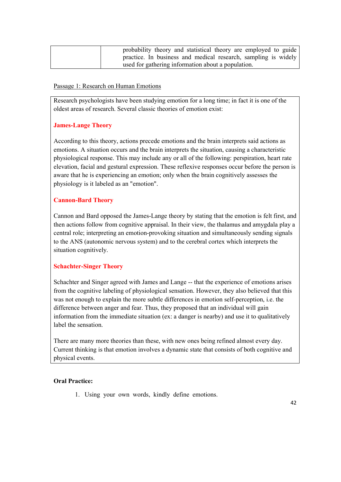| probability theory and statistical theory are employed to guide |
|-----------------------------------------------------------------|
| practice. In business and medical research, sampling is widely  |
| used for gathering information about a population.              |

#### Passage 1: Research on Human Emotions

Research psychologists have been studying emotion for a long time; in fact it is one of the oldest areas of research. Several classic theories of emotion exist:

#### James-Lange Theory

According to this theory, actions precede emotions and the brain interprets said actions as emotions. A situation occurs and the brain interprets the situation, causing a characteristic physiological response. This may include any or all of the following: perspiration, heart rate elevation, facial and gestural expression. These reflexive responses occur before the person is aware that he is experiencing an emotion; only when the brain cognitively assesses the physiology is it labeled as an "emotion".

#### Cannon-Bard Theory

Cannon and Bard opposed the James-Lange theory by stating that the emotion is felt first, and then actions follow from cognitive appraisal. In their view, the thalamus and amygdala play a central role; interpreting an emotion-provoking situation and simultaneously sending signals to the ANS (autonomic nervous system) and to the cerebral cortex which interprets the situation cognitively.

#### Schachter-Singer Theory

Schachter and Singer agreed with James and Lange -- that the experience of emotions arises from the cognitive labeling of physiological sensation. However, they also believed that this was not enough to explain the more subtle differences in emotion self-perception, i.e. the difference between anger and fear. Thus, they proposed that an individual will gain information from the immediate situation (ex: a danger is nearby) and use it to qualitatively label the sensation.

There are many more theories than these, with new ones being refined almost every day. Current thinking is that emotion involves a dynamic state that consists of both cognitive and physical events.

#### Oral Practice:

1. Using your own words, kindly define emotions.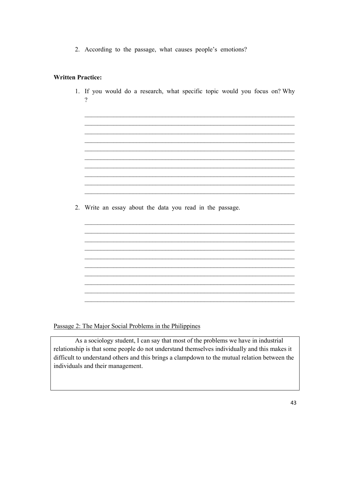2. According to the passage, what causes people's emotions?

#### **Written Practice:**

1. If you would do a research, what specific topic would you focus on? Why  $\gamma$ 

2. Write an essay about the data you read in the passage.

Passage 2: The Major Social Problems in the Philippines

As a sociology student, I can say that most of the problems we have in industrial relationship is that some people do not understand themselves individually and this makes it difficult to understand others and this brings a clampdown to the mutual relation between the individuals and their management.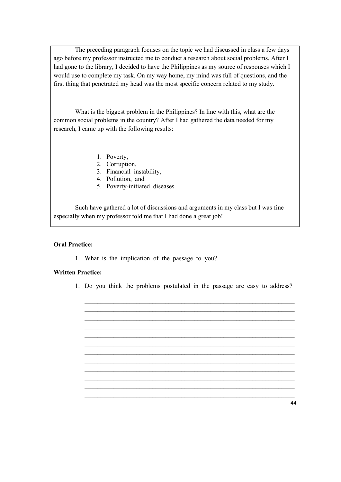The preceding paragraph focuses on the topic we had discussed in class a few days ago before my professor instructed me to conduct a research about social problems. After I had gone to the library, I decided to have the Philippines as my source of responses which I would use to complete my task. On my way home, my mind was full of questions, and the first thing that penetrated my head was the most specific concern related to my study.

What is the biggest problem in the Philippines? In line with this, what are the common social problems in the country? After I had gathered the data needed for my research, I came up with the following results:

- 1. Poverty,
- 2. Corruption,
- 3. Financial instability,
- 4. Pollution, and
- 5. Poverty-initiated diseases.

Such have gathered a lot of discussions and arguments in my class but I was fine especially when my professor told me that I had done a great job!

#### Oral Practice:

1. What is the implication of the passage to you?

#### Written Practice:

1. Do you think the problems postulated in the passage are easy to address?

 $\_$  , and the set of the set of the set of the set of the set of the set of the set of the set of the set of the set of the set of the set of the set of the set of the set of the set of the set of the set of the set of th \_\_\_\_\_\_\_\_\_\_\_\_\_\_\_\_\_\_\_\_\_\_\_\_\_\_\_\_\_\_\_\_\_\_\_\_\_\_\_\_\_\_\_\_\_\_\_\_\_\_\_\_\_\_\_\_\_\_\_\_\_\_\_\_\_  $\_$  , and the set of the set of the set of the set of the set of the set of the set of the set of the set of the set of the set of the set of the set of the set of the set of the set of the set of the set of the set of th  $\_$  , and the set of the set of the set of the set of the set of the set of the set of the set of the set of the set of the set of the set of the set of the set of the set of the set of the set of the set of the set of th  $\_$  , and the set of the set of the set of the set of the set of the set of the set of the set of the set of the set of the set of the set of the set of the set of the set of the set of the set of the set of the set of th  $\_$  , and the set of the set of the set of the set of the set of the set of the set of the set of the set of the set of the set of the set of the set of the set of the set of the set of the set of the set of the set of th \_\_\_\_\_\_\_\_\_\_\_\_\_\_\_\_\_\_\_\_\_\_\_\_\_\_\_\_\_\_\_\_\_\_\_\_\_\_\_\_\_\_\_\_\_\_\_\_\_\_\_\_\_\_\_\_\_\_\_\_\_\_\_\_\_ \_\_\_\_\_\_\_\_\_\_\_\_\_\_\_\_\_\_\_\_\_\_\_\_\_\_\_\_\_\_\_\_\_\_\_\_\_\_\_\_\_\_\_\_\_\_\_\_\_\_\_\_\_\_\_\_\_\_\_\_\_\_\_\_\_ \_\_\_\_\_\_\_\_\_\_\_\_\_\_\_\_\_\_\_\_\_\_\_\_\_\_\_\_\_\_\_\_\_\_\_\_\_\_\_\_\_\_\_\_\_\_\_\_\_\_\_\_\_\_\_\_\_\_\_\_\_\_\_\_\_  $\_$  , and the set of the set of the set of the set of the set of the set of the set of the set of the set of the set of the set of the set of the set of the set of the set of the set of the set of the set of the set of th \_\_\_\_\_\_\_\_\_\_\_\_\_\_\_\_\_\_\_\_\_\_\_\_\_\_\_\_\_\_\_\_\_\_\_\_\_\_\_\_\_\_\_\_\_\_\_\_\_\_\_\_\_\_\_\_\_\_\_\_\_\_\_\_\_  $\_$  , and the set of the set of the set of the set of the set of the set of the set of the set of the set of the set of the set of the set of the set of the set of the set of the set of the set of the set of the set of th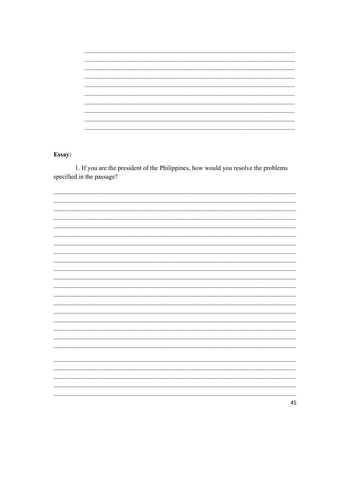

#### Essay:

1. If you are the president of the Philippines, how would you resolve the problems specified in the passage?

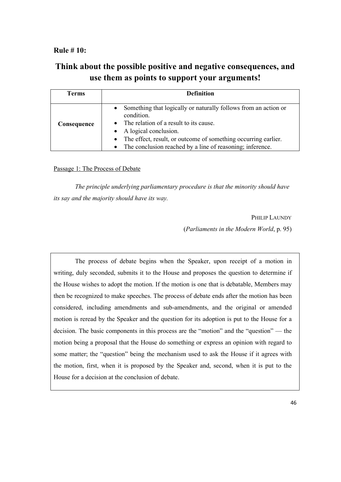Rule # 10:

# Think about the possible positive and negative consequences, and use them as points to support your arguments!

| Terms       | <b>Definition</b>                                                                                                                                                                                                                                                                                 |
|-------------|---------------------------------------------------------------------------------------------------------------------------------------------------------------------------------------------------------------------------------------------------------------------------------------------------|
| Consequence | • Something that logically or naturally follows from an action or<br>condition.<br>• The relation of a result to its cause.<br>$\bullet$ A logical conclusion.<br>• The effect, result, or outcome of something occurring earlier.<br>• The conclusion reached by a line of reasoning; inference. |

Passage 1: The Process of Debate

*The principle underlying parliamentary procedure is that the minority should have its say and the majority should have its way.*

> PHILIP LAUNDY (*Parliaments in the Modern World*, p. 95)

The process of debate begins when the Speaker, upon receipt of a motion in writing, duly seconded, submits it to the House and proposes the question to determine if the House wishes to adopt the motion. If the motion is one that is debatable, Members may then be recognized to make speeches. The process of debate ends after the motion has been considered, including amendments and sub-amendments, and the original or amended motion is reread by the Speaker and the question for its adoption is put to the House for a decision. The basic components in this process are the "motion" and the "question" — the motion being a proposal that the House do something or express an opinion with regard to some matter; the "question" being the mechanism used to ask the House if it agrees with the motion, first, when it is proposed by the Speaker and, second, when it is put to the House for a decision at the conclusion of debate.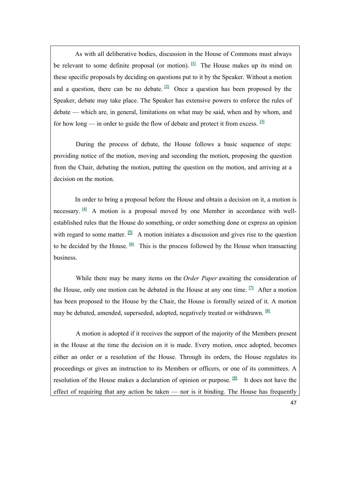As with all deliberative bodies, discussion in the House of Commons must always be relevant to some definite proposal (or motion).  $\frac{11}{11}$  The House makes up its mind on these specific proposals by deciding on questions put to it by the Speaker. Without a motion and a question, there can be no debate.  $\mathbb{E}$  Once a question has been proposed by the Speaker, debate may take place. The Speaker has extensive powers to enforce the rules of debate — which are, in general, limitations on what may be said, when and by whom, and for how long — in order to guide the flow of debate and protect it from excess.  $\frac{3}{12}$ 

During the process of debate, the House follows a basic sequence of steps: providing notice of the motion, moving and seconding the motion, proposing the question from the Chair, debating the motion, putting the question on the motion, and arriving at a decision on the motion.

In order to bring a proposal before the House and obtain a decision on it, a motion is necessary.  $[4]$  A motion is a proposal moved by one Member in accordance with wellestablished rules that the House do something, or order something done or express an opinion with regard to some matter.  $\mathbb{S}^1$  A motion initiates a discussion and gives rise to the question to be decided by the House.  $[6]$  This is the process followed by the House when transacting business.

While there may be many items on the *Order Paper* awaiting the consideration of the House, only one motion can be debated in the House at any one time.  $\boxed{7}$  After a motion has been proposed to the House by the Chair, the House is formally seized of it. A motion may be debated, amended, superseded, adopted, negatively treated or withdrawn. <sup>[8]</sup>

A motion is adopted if it receives the support of the majority of the Members present in the House at the time the decision on it is made. Every motion, once adopted, becomes either an order or a resolution of the House. Through its orders, the House regulates its proceedings or gives an instruction to its Members or officers, or one of its committees. A resolution of the House makes a declaration of opinion or purpose. <sup>[9]</sup> It does not have the effect of requiring that any action be taken — nor is it binding. The House has frequently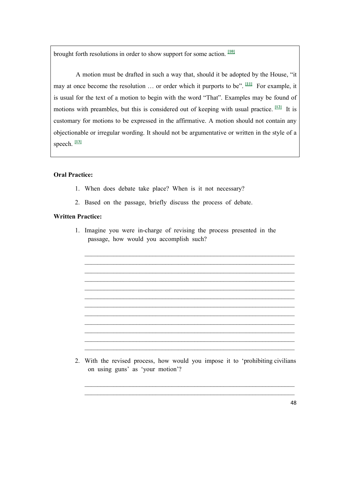brought forth resolutions in order to show support for some action.  $\frac{1101}{100}$ 

A motion must be drafted in such a way that, should it be adopted by the House, "it may at once become the resolution  $\ldots$  or order which it purports to be".  $\frac{111}{11}$  For example, it is usual for the text of a motion to begin with the word "That". Examples may be found of motions with preambles, but this is considered out of keeping with usual practice.  $\frac{12}{2}$  It is customary for motions to be expressed in the affirmative. A motion should not contain any objectionable or irregular wording. It should not be argumentative or written in the style of a speech. [13]

#### Oral Practice:

- 1. When does debate take place? When is it not necessary?
- 2. Based on the passage, briefly discuss the process of debate.

#### Written Practice:

1. Imagine you were in-charge of revising the process presented in the passage, how would you accomplish such?

 $\_$  , and the set of the set of the set of the set of the set of the set of the set of the set of the set of the set of the set of the set of the set of the set of the set of the set of the set of the set of the set of th \_\_\_\_\_\_\_\_\_\_\_\_\_\_\_\_\_\_\_\_\_\_\_\_\_\_\_\_\_\_\_\_\_\_\_\_\_\_\_\_\_\_\_\_\_\_\_\_\_\_\_\_\_\_\_\_\_\_\_\_\_\_\_\_\_  $\_$  , and the contribution of the contribution of  $\mathcal{L}_1$  , and  $\mathcal{L}_2$  , and  $\mathcal{L}_3$  , and  $\mathcal{L}_4$  , and  $\mathcal{L}_5$  $\_$  , and the contribution of the contribution of  $\mathcal{L}_1$  , and  $\mathcal{L}_2$  , and  $\mathcal{L}_3$  , and  $\mathcal{L}_4$  , and  $\mathcal{L}_5$  $\_$  , and the contribution of the contribution of  $\mathcal{L}_1$  , and  $\mathcal{L}_2$  , and  $\mathcal{L}_3$  , and  $\mathcal{L}_4$  , and  $\mathcal{L}_5$ \_\_\_\_\_\_\_\_\_\_\_\_\_\_\_\_\_\_\_\_\_\_\_\_\_\_\_\_\_\_\_\_\_\_\_\_\_\_\_\_\_\_\_\_\_\_\_\_\_\_\_\_\_\_\_\_\_\_\_\_\_\_\_\_\_ \_\_\_\_\_\_\_\_\_\_\_\_\_\_\_\_\_\_\_\_\_\_\_\_\_\_\_\_\_\_\_\_\_\_\_\_\_\_\_\_\_\_\_\_\_\_\_\_\_\_\_\_\_\_\_\_\_\_\_\_\_\_\_\_\_ \_\_\_\_\_\_\_\_\_\_\_\_\_\_\_\_\_\_\_\_\_\_\_\_\_\_\_\_\_\_\_\_\_\_\_\_\_\_\_\_\_\_\_\_\_\_\_\_\_\_\_\_\_\_\_\_\_\_\_\_\_\_\_\_\_ \_\_\_\_\_\_\_\_\_\_\_\_\_\_\_\_\_\_\_\_\_\_\_\_\_\_\_\_\_\_\_\_\_\_\_\_\_\_\_\_\_\_\_\_\_\_\_\_\_\_\_\_\_\_\_\_\_\_\_\_\_\_\_\_\_  $\_$  , and the contribution of the contribution of  $\mathcal{L}_1$  , and  $\mathcal{L}_2$  , and  $\mathcal{L}_3$  , and  $\mathcal{L}_4$  , and  $\mathcal{L}_5$  $\_$  , and the contribution of the contribution of  $\mathcal{L}_1$  , and  $\mathcal{L}_2$  , and  $\mathcal{L}_3$  , and  $\mathcal{L}_4$  , and  $\mathcal{L}_5$ \_\_\_\_\_\_\_\_\_\_\_\_\_\_\_\_\_\_\_\_\_\_\_\_\_\_\_\_\_\_\_\_\_\_\_\_\_\_\_\_\_\_\_\_\_\_\_\_\_\_\_\_\_\_\_\_\_\_\_\_\_\_\_\_\_

2. With the revised process, how would you impose it to 'prohibiting civilians on using guns' as 'your motion'?

 $\_$  , and the contribution of the contribution of  $\mathcal{L}_1$  , and  $\mathcal{L}_2$  , and  $\mathcal{L}_3$  , and  $\mathcal{L}_4$  , and  $\mathcal{L}_5$  $\_$  , and the contribution of the contribution of  $\mathcal{L}_1$  , and  $\mathcal{L}_2$  , and  $\mathcal{L}_3$  , and  $\mathcal{L}_4$  , and  $\mathcal{L}_5$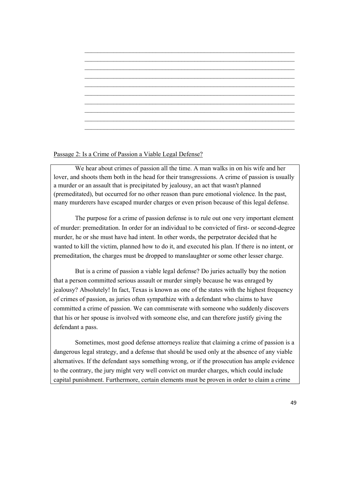## $\_$  , and the contribution of the contribution of  $\mathcal{L}_1$  , and  $\mathcal{L}_2$  , and  $\mathcal{L}_3$  , and  $\mathcal{L}_4$  , and  $\mathcal{L}_5$  $\_$  , and the contribution of the contribution of  $\mathcal{L}_1$  , and  $\mathcal{L}_2$  , and  $\mathcal{L}_3$  , and  $\mathcal{L}_4$  , and  $\mathcal{L}_5$ \_\_\_\_\_\_\_\_\_\_\_\_\_\_\_\_\_\_\_\_\_\_\_\_\_\_\_\_\_\_\_\_\_\_\_\_\_\_\_\_\_\_\_\_\_\_\_\_\_\_\_\_\_\_\_\_\_\_\_\_\_\_\_\_\_ \_\_\_\_\_\_\_\_\_\_\_\_\_\_\_\_\_\_\_\_\_\_\_\_\_\_\_\_\_\_\_\_\_\_\_\_\_\_\_\_\_\_\_\_\_\_\_\_\_\_\_\_\_\_\_\_\_\_\_\_\_\_\_\_\_  $\_$  , and the contribution of the contribution of  $\mathcal{L}_1$  , and  $\mathcal{L}_2$  , and  $\mathcal{L}_3$  , and  $\mathcal{L}_4$  , and  $\mathcal{L}_5$  $\_$  , and the contribution of the contribution of  $\mathcal{L}_1$  , and  $\mathcal{L}_2$  , and  $\mathcal{L}_3$  , and  $\mathcal{L}_4$  , and  $\mathcal{L}_5$  $\_$  , and the contribution of the contribution of  $\mathcal{L}_1$  , and  $\mathcal{L}_2$  , and  $\mathcal{L}_3$  , and  $\mathcal{L}_4$  , and  $\mathcal{L}_5$  $\_$  , and the set of the set of the set of the set of the set of the set of the set of the set of the set of the set of the set of the set of the set of the set of the set of the set of the set of the set of the set of th \_\_\_\_\_\_\_\_\_\_\_\_\_\_\_\_\_\_\_\_\_\_\_\_\_\_\_\_\_\_\_\_\_\_\_\_\_\_\_\_\_\_\_\_\_\_\_\_\_\_\_\_\_\_\_\_\_\_\_\_\_\_\_\_\_

 $\_$  , and the set of the set of the set of the set of the set of the set of the set of the set of the set of the set of the set of the set of the set of the set of the set of the set of the set of the set of the set of th

#### Passage 2: Is a Crime of Passion a Viable Legal Defense?

We hear about crimes of passion all the time. A man walks in on his wife and her lover, and shoots them both in the head for their transgressions. A crime of passion is usually a murder or an assault that is precipitated by jealousy, an act that wasn't planned (premeditated), but occurred for no other reason than pure emotional violence. In the past, many murderers have escaped murder charges or even prison because of this legal defense.

The purpose for a crime of passion defense is to rule out one very important element of murder: premeditation. In order for an individual to be convicted of first- or second-degree murder, he or she must have had intent. In other words, the perpetrator decided that he wanted to kill the victim, planned how to do it, and executed his plan. If there is no intent, or premeditation, the charges must be dropped to manslaughter or some other lesser charge.

But is a crime of passion a viable legal defense? Do juries actually buy the notion that a person committed serious assault or murder simply because he was enraged by jealousy? Absolutely! In fact, Texas is known as one of the states with the highest frequency of crimes of passion, as juries often sympathize with a defendant who claims to have committed a crime of passion. We can commiserate with someone who suddenly discovers that his or her spouse is involved with someone else, and can therefore justify giving the defendant a pass.

Sometimes, most good defense attorneys realize that claiming a crime of passion is a dangerous legal strategy, and a defense that should be used only at the absence of any viable alternatives. If the defendant says something wrong, or if the prosecution has ample evidence to the contrary, the jury might very well convict on murder charges, which could include capital punishment. Furthermore, certain elements must be proven in order to claim a crime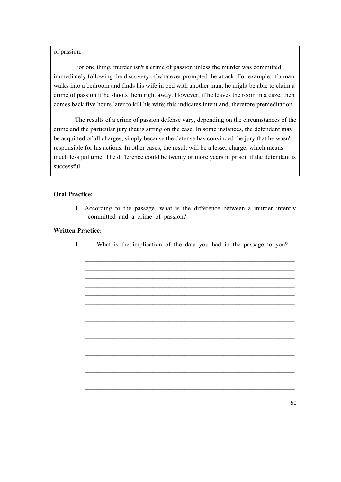#### of passion.

For one thing, murder isn't a crime of passion unless the murder was committed immediately following the discovery of whatever prompted the attack. For example, if a man walks into a bedroom and finds his wife in bed with another man, he might be able to claim a crime of passion if he shoots them right away. However, if he leaves the room in a daze, then comes back five hours later to kill his wife; this indicates intent and, therefore premeditation.

The results of a crime of passion defense vary, depending on the circumstances of the crime and the particular jury that is sitting on the case. In some instances, the defendant may be acquitted of all charges, simply because the defense has convinced the jury that he wasn't responsible for his actions. In other cases, the result will be a lesser charge, which means much less jail time. The difference could be twenty or more years in prison if the defendant is successful.

#### Oral Practice:

1. According to the passage, what is the difference between a murder intently committed and a crime of passion?

#### Written Practice:

1. What is the implication of the data you had in the passage to you?

\_\_\_\_\_\_\_\_\_\_\_\_\_\_\_\_\_\_\_\_\_\_\_\_\_\_\_\_\_\_\_\_\_\_\_\_\_\_\_\_\_\_\_\_\_\_\_\_\_\_\_\_\_\_\_\_\_\_\_\_\_\_\_\_\_

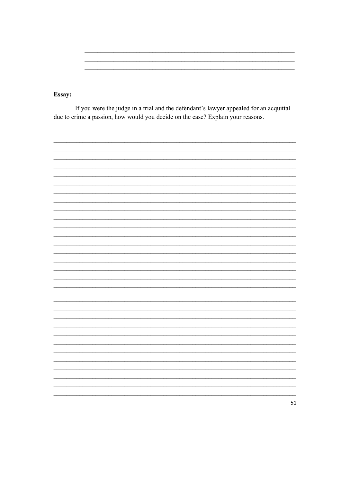## Essay:

If you were the judge in a trial and the defendant's lawyer appealed for an acquittal due to crime a passion, how would you decide on the case? Explain your reasons.

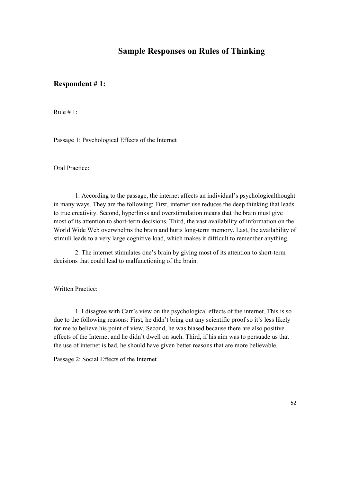## Sample Responses on Rules of Thinking

#### Respondent # 1:

Rule # 1:

Passage 1: Psychological Effects of the Internet

Oral Practice:

1. According to the passage, the internet affects an individual's psychologicalthought in many ways. They are the following: First, internet use reduces the deep thinking that leads to true creativity. Second, hyperlinks and overstimulation means that the brain must give most of its attention to short-term decisions. Third, the vast availability of information on the World Wide Web overwhelms the brain and hurts long-term memory. Last, the availability of stimuli leads to a very large cognitive load, which makes it difficult to remember anything.

2. The internet stimulates one's brain by giving most of its attention to short-term decisions that could lead to malfunctioning of the brain.

Written Practice:

1. I disagree with Carr's view on the psychological effects of the internet. This is so due to the following reasons: First, he didn't bring out any scientific proof so it's less likely for me to believe his point of view. Second, he was biased because there are also positive effects of the Internet and he didn't dwell on such. Third, if his aim was to persuade us that the use of internet is bad, he should have given better reasons that are more believable.

Passage 2: Social Effects of the Internet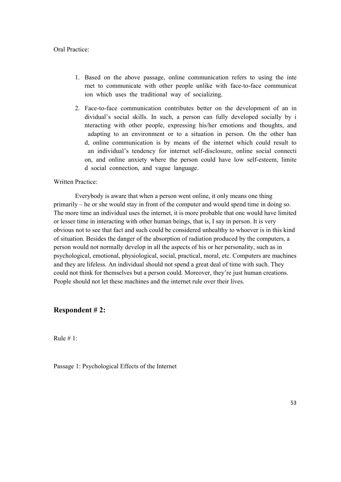- 1. Based on the above passage, online communication refers to using the inte rnet to communicate with other people unlike with face-to-face communicat ion which uses the traditional way of socializing.
- 2. Face-to-face communication contributes better on the development of an in dividual's social skills. In such, a person can fully developed socially by i nteracting with other people, expressing his/her emotions and thoughts, and adapting to an environment or to a situation in person. On the other han d, online communication is by means of the internet which could result to an individual's tendency for internet self-disclosure, online social connecti on, and online anxiety where the person could have low self-esteem, limite d social connection, and vague language.

#### Written Practice:

Everybody is aware that when a person went online, it only means one thing primarily – he or she would stay in front of the computer and would spend time in doing so. The more time an individual uses the internet, it is more probable that one would have limited or lesser time in interacting with other human beings, that is, I say in person. It is very obvious not to see that fact and such could be considered unhealthy to whoever is in this kind of situation. Besides the danger of the absorption of radiation produced by the computers, a person would not normally develop in all the aspects of his or her personality, such as in psychological, emotional, physiological, social, practical, moral, etc. Computers are machines and they are lifeless. An individual should not spend a great deal of time with such. They could not think for themselves but a person could. Moreover, they're just human creations. People should not let these machines and the internet rule over their lives.

Respondent # 2:

Rule  $# 1$ :

Passage 1: Psychological Effects of the Internet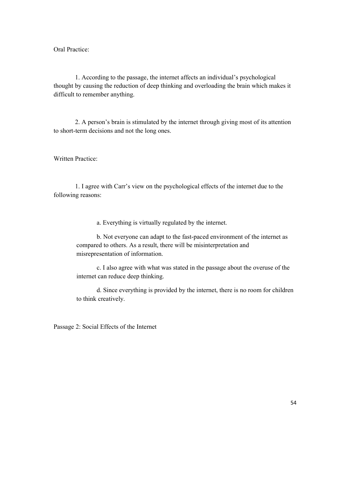1. According to the passage, the internet affects an individual's psychological thought by causing the reduction of deep thinking and overloading the brain which makes it difficult to remember anything.

2. A person's brain is stimulated by the internet through giving most of its attention to short-term decisions and not the long ones.

Written Practice:

1. I agree with Carr's view on the psychological effects of the internet due to the following reasons:

a. Everything is virtually regulated by the internet.

b. Not everyone can adapt to the fast-paced environment of the internet as compared to others. As a result, there will be misinterpretation and misrepresentation of information.

c. I also agree with what was stated in the passage about the overuse of the internet can reduce deep thinking.

d. Since everything is provided by the internet, there is no room for children to think creatively.

Passage 2: Social Effects of the Internet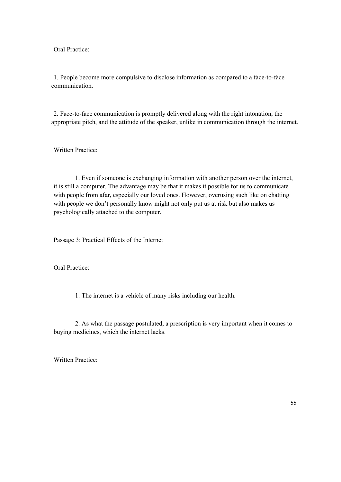1. People become more compulsive to disclose information as compared to a face-to-face communication.

2. Face-to-face communication is promptly delivered along with the right intonation, the appropriate pitch, and the attitude of the speaker, unlike in communication through the internet.

Written Practice:

1. Even if someone is exchanging information with another person over the internet, it is still a computer. The advantage may be that it makes it possible for us to communicate with people from afar, especially our loved ones. However, overusing such like on chatting with people we don't personally know might not only put us at risk but also makes us psychologically attached to the computer.

Passage 3: Practical Effects of the Internet

Oral Practice:

1. The internet is a vehicle of many risks including our health.

2. As what the passage postulated, a prescription is very important when it comes to buying medicines, which the internet lacks.

Written Practice: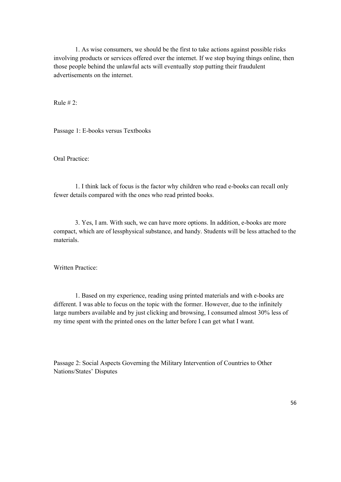1. As wise consumers, we should be the first to take actions against possible risks involving products or services offered over the internet. If we stop buying things online, then those people behind the unlawful acts will eventually stop putting their fraudulent advertisements on the internet.

Rule  $# 2$ :

Passage 1: E-books versus Textbooks

Oral Practice:

1. I think lack of focus is the factor why children who read e-books can recall only fewer details compared with the ones who read printed books.

3. Yes, I am. With such, we can have more options. In addition, e-books are more compact, which are of lessphysical substance, and handy. Students will be less attached to the materials.

Written Practice:

1. Based on my experience, reading using printed materials and with e-books are different. I was able to focus on the topic with the former. However, due to the infinitely large numbers available and by just clicking and browsing, I consumed almost 30% less of my time spent with the printed ones on the latter before I can get what I want.

Passage 2: Social Aspects Governing the Military Intervention of Countries to Other Nations/States' Disputes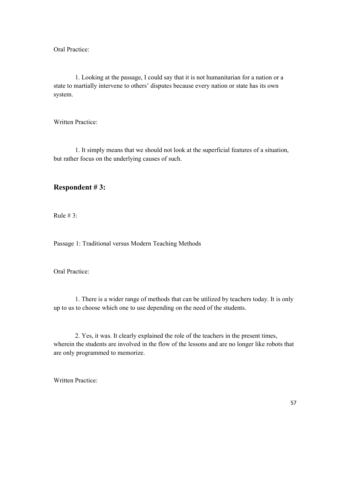1. Looking at the passage, I could say that it is not humanitarian for a nation or a state to martially intervene to others' disputes because every nation or state has its own system.

Written Practice:

1. It simply means that we should not look at the superficial features of a situation, but rather focus on the underlying causes of such.

#### Respondent # 3:

Rule  $# 3$ :

Passage 1: Traditional versus Modern Teaching Methods

Oral Practice:

1. There is a wider range of methods that can be utilized by teachers today. It is only up to us to choose which one to use depending on the need of the students.

2. Yes, it was. It clearly explained the role of the teachers in the present times, wherein the students are involved in the flow of the lessons and are no longer like robots that are only programmed to memorize.

Written Practice: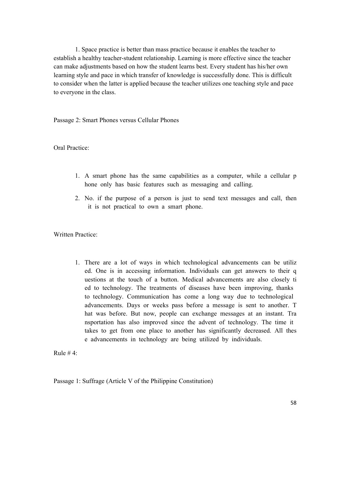1. Space practice is better than mass practice because it enables the teacher to establish a healthy teacher-student relationship. Learning is more effective since the teacher can make adjustments based on how the student learns best. Every student has his/her own learning style and pace in which transfer of knowledge is successfully done. This is difficult to consider when the latter is applied because the teacher utilizes one teaching style and pace to everyone in the class.

Passage 2: Smart Phones versus Cellular Phones

Oral Practice:

- 1. A smart phone has the same capabilities as a computer, while a cellular p hone only has basic features such as messaging and calling.
- 2. No. if the purpose of a person is just to send text messages and call, then it is not practical to own a smart phone.

Written Practice:

1. There are a lot of ways in which technological advancements can be utiliz ed. One is in accessing information. Individuals can get answers to their q uestions at the touch of a button. Medical advancements are also closely ti ed to technology. The treatments of diseases have been improving, thanks to technology. Communication has come a long way due to technological advancements. Days or weeks pass before a message is sent to another. T hat was before. But now, people can exchange messages at an instant. Tra nsportation has also improved since the advent of technology. The time it takes to get from one place to another has significantly decreased. All thes e advancements in technology are being utilized by individuals.

Rule  $#4$ :

Passage 1: Suffrage (Article V of the Philippine Constitution)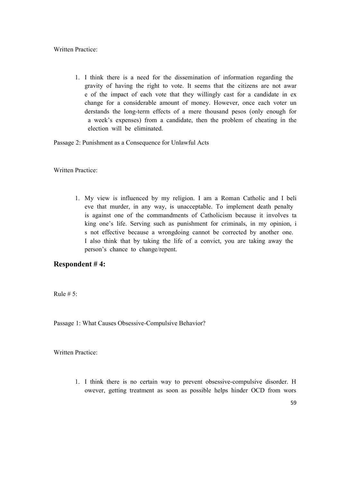Written Practice:

1. I think there is a need for the dissemination of information regarding the gravity of having the right to vote. It seems that the citizens are not awar e of the impact of each vote that they willingly cast for a candidate in ex change for a considerable amount of money. However, once each voter un derstands the long-term effects of a mere thousand pesos (only enough for a week's expenses) from a candidate, then the problem of cheating in the election will be eliminated.

Passage 2: Punishment as a Consequence for Unlawful Acts

Written Practice:

1. My view is influenced by my religion. I am a Roman Catholic and I beli eve that murder, in any way, is unacceptable. To implement death penalty is against one of the commandments of Catholicism because it involves ta king one's life. Serving such as punishment for criminals, in my opinion, i s not effective because a wrongdoing cannot be corrected by another one. I also think that by taking the life of a convict, you are taking away the person's chance to change/repent.

#### Respondent # 4:

Rule  $# 5$ :

Passage 1: What Causes Obsessive-Compulsive Behavior?

Written Practice:

1. I think there is no certain way to prevent obsessive-compulsive disorder. H owever, getting treatment as soon as possible helps hinder OCD from wors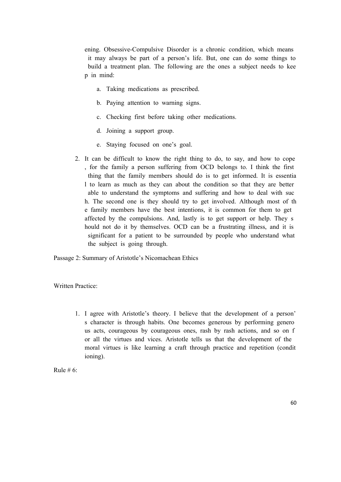ening. Obsessive-Compulsive Disorder is a chronic condition, which means it may always be part of a person's life. But, one can do some things to build a treatment plan. The following are the ones a subject needs to kee p in mind:

- a. Taking medications as prescribed.
- b. Paying attention to warning signs.
- c. Checking first before taking other medications.
- d. Joining a support group.
- e. Staying focused on one's goal.
- 2. It can be difficult to know the right thing to do, to say, and how to cope , for the family a person suffering from OCD belongs to. I think the first thing that the family members should do is to get informed. It is essentia l to learn as much as they can about the condition so that they are better able to understand the symptoms and suffering and how to deal with suc h. The second one is they should try to get involved. Although most of th e family members have the best intentions, it is common for them to get affected by the compulsions. And, lastly is to get support or help. They s hould not do it by themselves. OCD can be a frustrating illness, and it is significant for a patient to be surrounded by people who understand what the subject is going through.

Passage 2: Summary of Aristotle's Nicomachean Ethics

Written Practice:

1. I agree with Aristotle's theory. I believe that the development of a person' s character is through habits. One becomes generous by performing genero us acts, courageous by courageous ones, rash by rash actions, and so on f or all the virtues and vices. Aristotle tells us that the development of the moral virtues is like learning a craft through practice and repetition (condit ioning).

Rule  $# 6$ :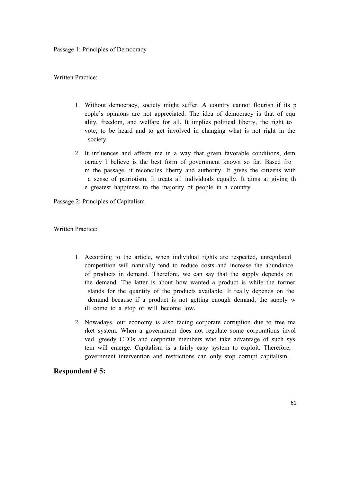Passage 1: Principles of Democracy

Written Practice:

- 1. Without democracy, society might suffer. A country cannot flourish if its p eople's opinions are not appreciated. The idea of democracy is that of equ ality, freedom, and welfare for all. It implies political liberty, the right to vote, to be heard and to get involved in changing what is not right in the society.
- 2. It influences and affects me in a way that given favorable conditions, dem ocracy I believe is the best form of government known so far. Based fro m the passage, it reconciles liberty and authority. It gives the citizens with a sense of patriotism. It treats all individuals equally. It aims at giving th e greatest happiness to the majority of people in a country.

Passage 2: Principles of Capitalism

Written Practice:

- 1. According to the article, when individual rights are respected, unregulated competition will naturally tend to reduce costs and increase the abundance of products in demand. Therefore, we can say that the supply depends on the demand. The latter is about how wanted a product is while the former stands for the quantity of the products available. It really depends on the demand because if a product is not getting enough demand, the supply w ill come to a stop or will become low.
- 2. Nowadays, our economy is also facing corporate corruption due to free ma rket system. When a government does not regulate some corporations invol ved, greedy CEOs and corporate members who take advantage of such sys tem will emerge. Capitalism is a fairly easy system to exploit. Therefore, government intervention and restrictions can only stop corrupt capitalism.

Respondent # 5: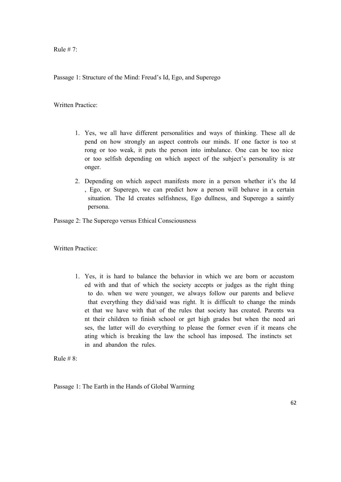Rule  $# 7$ :

Passage 1: Structure of the Mind: Freud's Id, Ego, and Superego

Written Practice:

- 1. Yes, we all have different personalities and ways of thinking. These all de pend on how strongly an aspect controls our minds. If one factor is too st rong or too weak, it puts the person into imbalance. One can be too nice or too selfish depending on which aspect of the subject's personality is str onger.
- 2. Depending on which aspect manifests more in a person whether it's the Id , Ego, or Superego, we can predict how a person will behave in a certain situation. The Id creates selfishness, Ego dullness, and Superego a saintly persona.

Passage 2: The Superego versus Ethical Consciousness

Written Practice:

1. Yes, it is hard to balance the behavior in which we are born or accustom ed with and that of which the society accepts or judges as the right thing to do. when we were younger, we always follow our parents and believe that everything they did/said was right. It is difficult to change the minds et that we have with that of the rules that society has created. Parents wa nt their children to finish school or get high grades but when the need ari ses, the latter will do everything to please the former even if it means che ating which is breaking the law the school has imposed. The instincts set in and abandon the rules.

Rule  $# 8$ 

Passage 1: The Earth in the Hands of Global Warming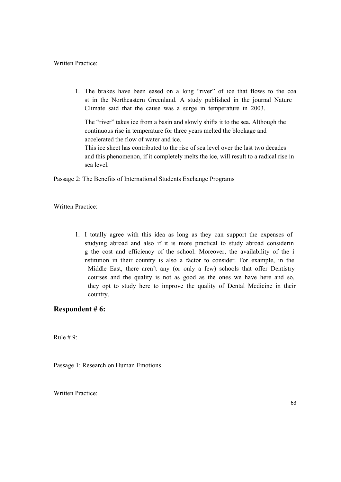Written Practice:

1. The brakes have been eased on a long "river" of ice that flows to the coa st in the Northeastern Greenland. A study published in the journal Nature Climate said that the cause was a surge in temperature in 2003.

The "river" takes ice from a basin and slowly shifts it to the sea. Although the continuous rise in temperature for three years melted the blockage and accelerated the flow of water and ice.

This ice sheet has contributed to the rise of sea level over the last two decades and this phenomenon, if it completely melts the ice, will result to a radical rise in sea level.

Passage 2: The Benefits of International Students Exchange Programs

Written Practice:

1. I totally agree with this idea as long as they can support the expenses of studying abroad and also if it is more practical to study abroad considerin g the cost and efficiency of the school. Moreover, the availability of the i nstitution in their country is also a factor to consider. For example, in the Middle East, there aren't any (or only a few) schools that offer Dentistry courses and the quality is not as good as the ones we have here and so, they opt to study here to improve the quality of Dental Medicine in their country.

#### Respondent # 6:

Rule  $# 9$ 

Passage 1: Research on Human Emotions

Written Practice: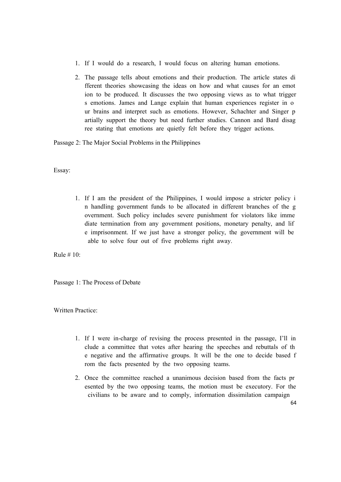- 1. If I would do a research, I would focus on altering human emotions.
- 2. The passage tells about emotions and their production. The article states di fferent theories showcasing the ideas on how and what causes for an emot ion to be produced. It discusses the two opposing views as to what trigger s emotions. James and Lange explain that human experiences register in o ur brains and interpret such as emotions. However, Schachter and Singer p artially support the theory but need further studies. Cannon and Bard disag ree stating that emotions are quietly felt before they trigger actions.

Passage 2: The Major Social Problems in the Philippines

Essay:

1. If I am the president of the Philippines, I would impose a stricter policy i n handling government funds to be allocated in different branches of the g overnment. Such policy includes severe punishment for violators like imme diate termination from any government positions, monetary penalty, and lif e imprisonment. If we just have a stronger policy, the government will be able to solve four out of five problems right away.

Rule  $# 10$ 

Passage 1: The Process of Debate

Written Practice:

- 1. If I were in-charge of revising the process presented in the passage, I'll in clude a committee that votes after hearing the speeches and rebuttals of th e negative and the affirmative groups. It will be the one to decide based f rom the facts presented by the two opposing teams.
- 2. Once the committee reached a unanimous decision based from the facts pr esented by the two opposing teams, the motion must be executory. For the civilians to be aware and to comply, information dissimilation campaign

64